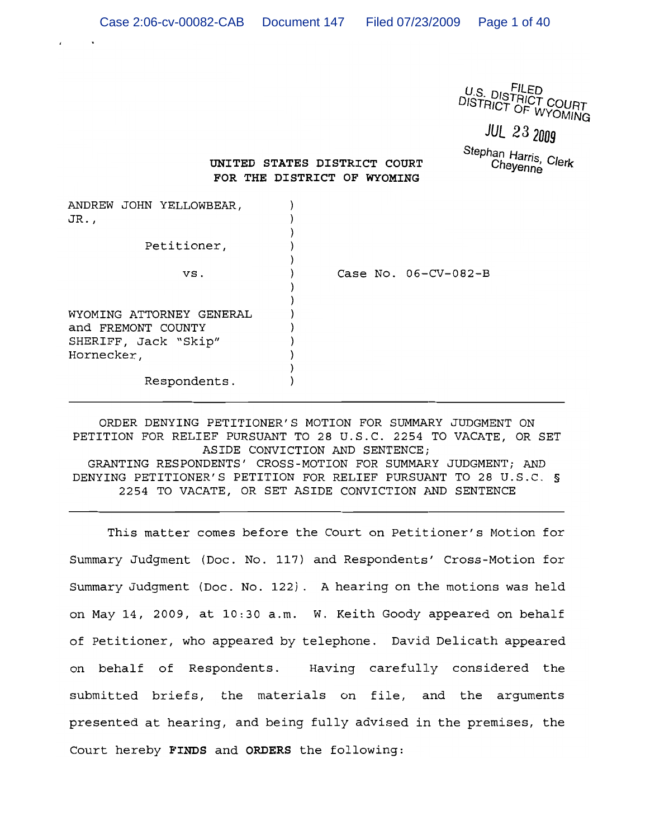U.S. DISTRIED<br>DISTRICT COURT<br>DISTRICT OF WYOMING

**JUL 23 2009** 

Stephan Harris, Clerk Cheyenne

# UNITED STATES DISTRICT COURT FOR THE DISTRICT OF WYOMING

| ANDREW JOHN YELLOWBEAR,<br>JR.,                                        |                        |
|------------------------------------------------------------------------|------------------------|
| Petitioner,                                                            |                        |
| VS.                                                                    | Case No. $06-CV-082-B$ |
| WYOMING ATTORNEY GENERAL<br>and FREMONT COUNTY<br>SHERIFF, Jack "Skip" |                        |
| Hornecker,                                                             |                        |
| Respondents.                                                           |                        |

ORDER DENYING PETITIONER'S MOTION FOR SUMMARY JUDGMENT ON PETITION FOR RELIEF PURSUANT TO 28 U.S.C. 2254 TO VACATE, OR SET ASIDE CONVICTION AND SENTENCE; GRANTING RESPONDENTS' CROSS-MOTION FOR SUMMARY JUDGMENT; AND DENYING PETITIONER'S PETITION FOR RELIEF PURSUANT TO 28 U.S.C. § 2254 TO VACATE, OR SET ASIDE CONVICTION AND SENTENCE

This matter comes before the Court on Petitioner's Motion for Summary Judgment (Doc. No. 117) and Respondents' Cross-Motion for Summary Judgment (Doc. No. 122). A hearing on the motions was held on May 14, 2009, at 10:30 a.m. W. Keith Goody appeared on behalf of Petitioner, who appeared by telephone. David Delicath appeared on behalf of Respondents. Having carefully considered the submitted briefs, the materials on file, and the arguments presented at hearing, and being fully advised in the premises, the Court hereby FINDS and ORDERS the following: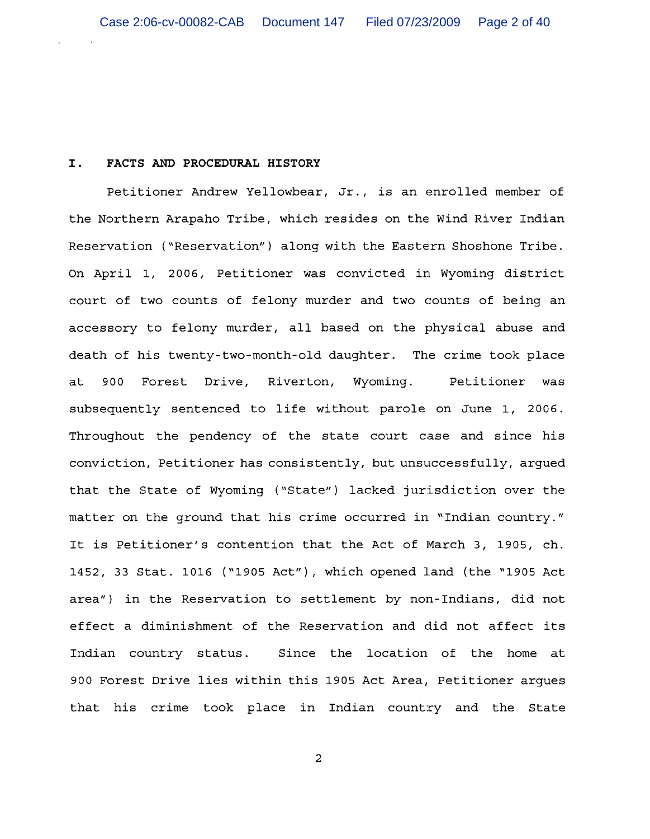### I. FACTS AND PROCEDURAL HISTORY

Petitioner Andrew Yellowbear, Jr., is an enrolled member of the Northern Arapaho Tribe, which resides on the Wind River Indian Reservation ("Reservation") along with the Eastern Shoshone Tribe. On April 1, 2006, Petitioner was convicted in Wyoming district court of two counts of felony murder and two counts of being an accessory to felony murder, all based on the physical abuse and death of his twenty-two-month-old daughter. The crime took place 900 Forest Drive, Riverton, Wyoming. Petitioner was at subsequently sentenced to life without parole on June 1, 2006. Throughout the pendency of the state court case and since his conviction, Petitioner has consistently, but unsuccessfully, arqued that the State of Wyoming ("State") lacked jurisdiction over the matter on the ground that his crime occurred in "Indian country." It is Petitioner's contention that the Act of March 3, 1905, ch. 1452, 33 Stat. 1016 ("1905 Act"), which opened land (the "1905 Act area") in the Reservation to settlement by non-Indians, did not effect a diminishment of the Reservation and did not affect its Indian country status. Since the location of the home at 900 Forest Drive lies within this 1905 Act Area, Petitioner argues that his crime took place in Indian country and the State

 $\mathbf 2$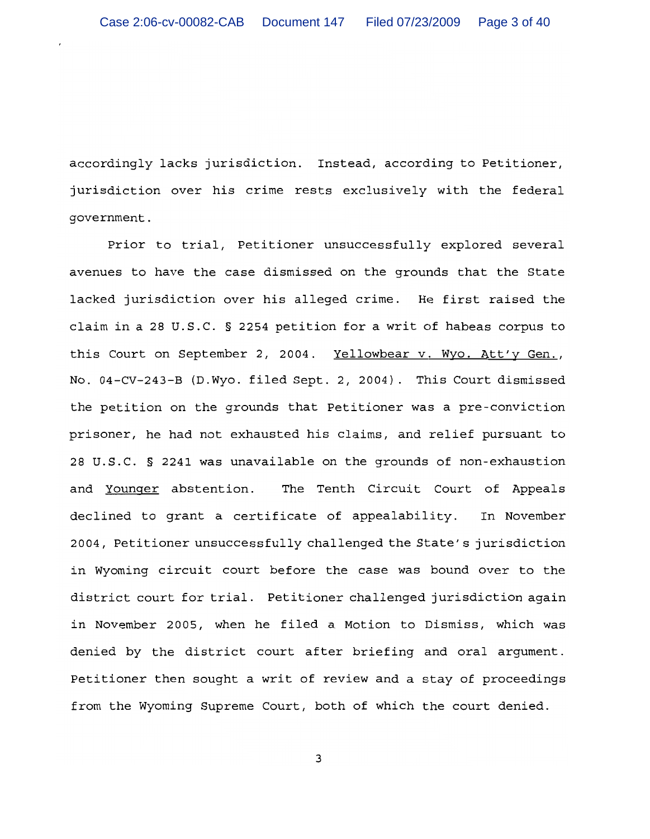accordingly lacks jurisdiction. Instead, according to Petitioner, jurisdiction over his crime rests exclusively with the federal qovernment.

Prior to trial, Petitioner unsuccessfully explored several avenues to have the case dismissed on the grounds that the State lacked jurisdiction over his alleged crime. He first raised the claim in a 28 U.S.C. § 2254 petition for a writ of habeas corpus to this Court on September 2, 2004. Yellowbear v. Wyo. Att'y Gen., No. 04-CV-243-B (D.Wyo. filed Sept. 2, 2004). This Court dismissed the petition on the grounds that Petitioner was a pre-conviction prisoner, he had not exhausted his claims, and relief pursuant to 28 U.S.C. § 2241 was unavailable on the grounds of non-exhaustion and Younger abstention. The Tenth Circuit Court of Appeals declined to grant a certificate of appealability. In November 2004, Petitioner unsuccessfully challenged the State's jurisdiction in Wyoming circuit court before the case was bound over to the district court for trial. Petitioner challenged jurisdiction again in November 2005, when he filed a Motion to Dismiss, which was denied by the district court after briefing and oral argument. Petitioner then sought a writ of review and a stay of proceedings from the Wyoming Supreme Court, both of which the court denied.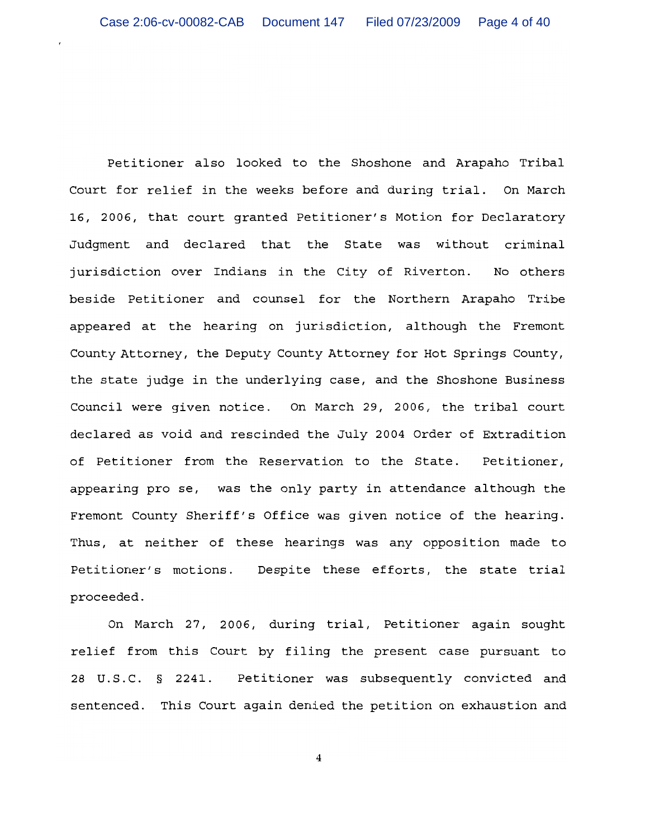Petitioner also looked to the Shoshone and Arapaho Tribal Court for relief in the weeks before and during trial. On March 16, 2006, that court granted Petitioner's Motion for Declaratory Judgment and declared that the State was without criminal jurisdiction over Indians in the City of Riverton. No others beside Petitioner and counsel for the Northern Arapaho Tribe appeared at the hearing on jurisdiction, although the Fremont County Attorney, the Deputy County Attorney for Hot Springs County, the state judge in the underlying case, and the Shoshone Business Council were given notice. On March 29, 2006, the tribal court declared as void and rescinded the July 2004 Order of Extradition of Petitioner from the Reservation to the State. Petitioner, appearing pro se, was the only party in attendance although the Fremont County Sheriff's Office was given notice of the hearing. Thus, at neither of these hearings was any opposition made to Petitioner's motions. Despite these efforts, the state trial proceeded.

On March 27, 2006, during trial, Petitioner again sought relief from this Court by filing the present case pursuant to 28 U.S.C. § 2241. Petitioner was subsequently convicted and sentenced. This Court again denied the petition on exhaustion and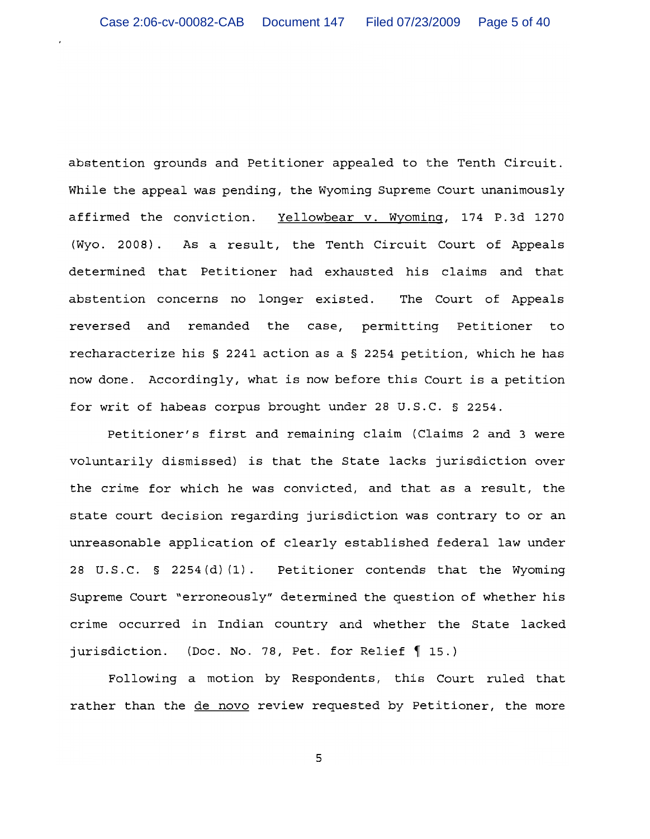abstention grounds and Petitioner appealed to the Tenth Circuit. While the appeal was pending, the Wyoming Supreme Court unanimously affirmed the conviction. Yellowbear v. Wyoming, 174 P.3d 1270 (Wyo. 2008). As a result, the Tenth Circuit Court of Appeals determined that Petitioner had exhausted his claims and that abstention concerns no longer existed. The Court of Appeals reversed and remanded the case, permitting Petitioner to recharacterize his § 2241 action as a § 2254 petition, which he has now done. Accordingly, what is now before this Court is a petition for writ of habeas corpus brought under 28 U.S.C. § 2254.

Petitioner's first and remaining claim (Claims 2 and 3 were voluntarily dismissed) is that the State lacks jurisdiction over the crime for which he was convicted, and that as a result, the state court decision regarding jurisdiction was contrary to or an unreasonable application of clearly established federal law under 28 U.S.C. § 2254(d)(1). Petitioner contends that the Wyoming Supreme Court "erroneously" determined the question of whether his crime occurred in Indian country and whether the State lacked jurisdiction. (Doc. No. 78, Pet. for Relief 15.)

Following a motion by Respondents, this Court ruled that rather than the de novo review requested by Petitioner, the more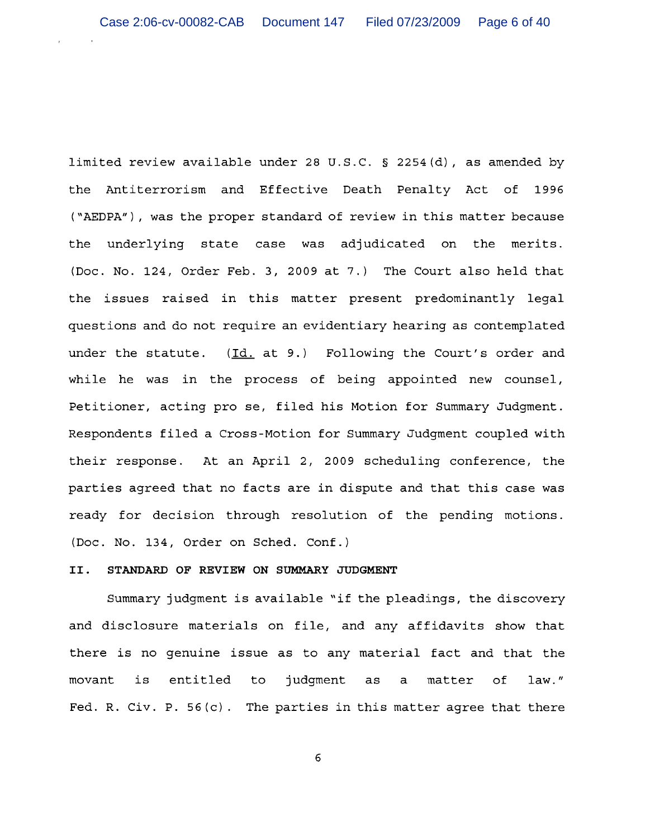limited review available under 28 U.S.C. § 2254(d), as amended by the Antiterrorism and Effective Death Penalty Act of 1996 ("AEDPA"), was the proper standard of review in this matter because the underlying state case was adjudicated on the merits. (Doc. No. 124, Order Feb. 3, 2009 at 7.) The Court also held that the issues raised in this matter present predominantly legal questions and do not require an evidentiary hearing as contemplated under the statute. (Id. at 9.) Following the Court's order and while he was in the process of being appointed new counsel, Petitioner, acting pro se, filed his Motion for Summary Judgment. Respondents filed a Cross-Motion for Summary Judgment coupled with their response. At an April 2, 2009 scheduling conference, the parties agreed that no facts are in dispute and that this case was ready for decision through resolution of the pending motions. (Doc. No. 134, Order on Sched. Conf.)

### STANDARD OF REVIEW ON SUMMARY JUDGMENT II.

Summary judgment is available "if the pleadings, the discovery and disclosure materials on file, and any affidavits show that there is no genuine issue as to any material fact and that the entitled movant is to judgment as  $\mathsf{a}$ matter of  $law.$ " Fed. R. Civ. P.  $56(c)$ . The parties in this matter agree that there

 $\epsilon$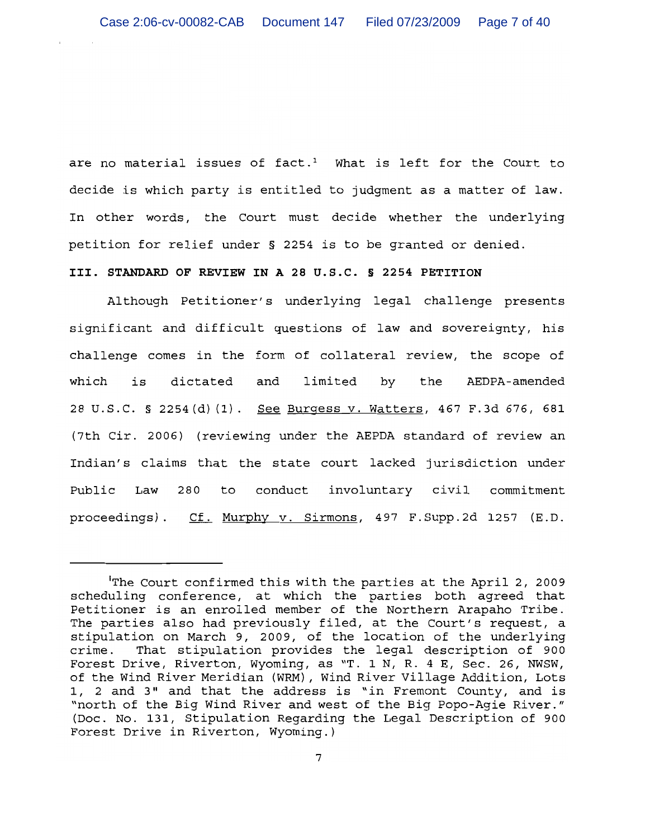are no material issues of fact.<sup>1</sup> What is left for the Court to decide is which party is entitled to judgment as a matter of law. In other words, the Court must decide whether the underlying petition for relief under § 2254 is to be granted or denied.

# III. STANDARD OF REVIEW IN A 28 U.S.C. § 2254 PETITION

Although Petitioner's underlying legal challenge presents significant and difficult questions of law and sovereignty, his challenge comes in the form of collateral review, the scope of which is dictated and limited by the AEDPA-amended 28 U.S.C. § 2254(d)(1). See Burgess v. Watters, 467 F.3d 676, 681 (7th Cir. 2006) (reviewing under the AEPDA standard of review an Indian's claims that the state court lacked jurisdiction under Public Law 280 to conduct involuntary civil commitment proceedings). Cf. Murphy v. Sirmons, 497 F. Supp. 2d 1257 (E.D.

The Court confirmed this with the parties at the April 2, 2009 scheduling conference, at which the parties both agreed that Petitioner is an enrolled member of the Northern Arapaho Tribe. The parties also had previously filed, at the Court's request, a stipulation on March 9, 2009, of the location of the underlying crime. That stipulation provides the legal description of 900 Forest Drive, Riverton, Wyoming, as "T. 1 N, R. 4 E, Sec. 26, NWSW, of the Wind River Meridian (WRM), Wind River Village Addition, Lots 1, 2 and 3" and that the address is "in Fremont County, and is "north of the Big Wind River and west of the Big Popo-Agie River." (Doc. No. 131, Stipulation Regarding the Legal Description of 900 Forest Drive in Riverton, Wyoming.)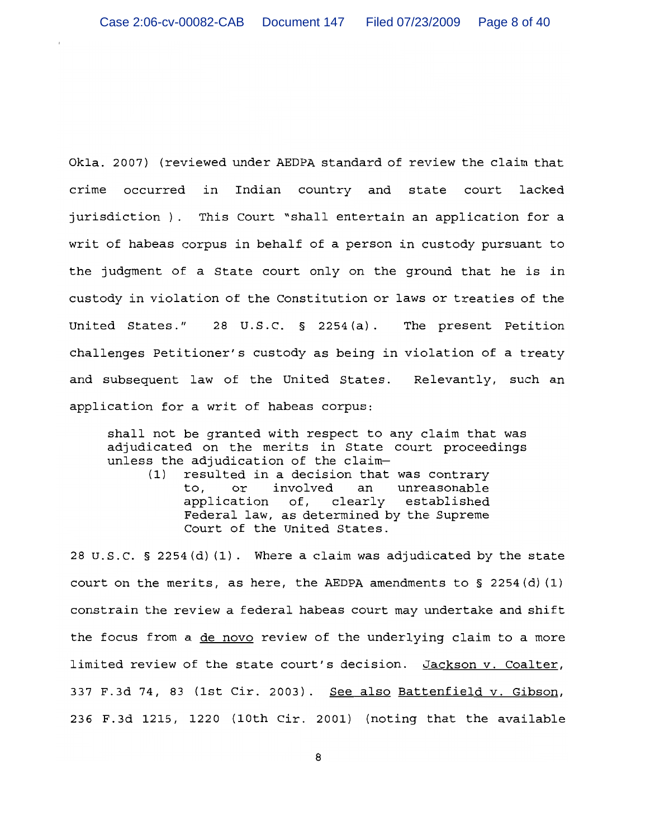Okla. 2007) (reviewed under AEDPA standard of review the claim that crime occurred in Indian country and state court lacked jurisdiction ). This Court "shall entertain an application for a writ of habeas corpus in behalf of a person in custody pursuant to the judgment of a State court only on the ground that he is in custody in violation of the Constitution or laws or treaties of the United States." 28 U.S.C.  $\S$  2254(a). The present Petition challenges Petitioner's custody as being in violation of a treaty and subsequent law of the United States. Relevantly, such an application for a writ of habeas corpus:

shall not be granted with respect to any claim that was adjudicated on the merits in State court proceedings unless the adjudication of the claim-

resulted in a decision that was contrary  $(1)$ to, or involved an unreasonable application of, clearly established Federal law, as determined by the Supreme Court of the United States.

28 U.S.C. § 2254 (d) (1). Where a claim was adjudicated by the state court on the merits, as here, the AEDPA amendments to § 2254 (d) (1) constrain the review a federal habeas court may undertake and shift the focus from a de novo review of the underlying claim to a more limited review of the state court's decision. Jackson v. Coalter, 337 F.3d 74, 83 (1st Cir. 2003). See also Battenfield v. Gibson, 236 F.3d 1215, 1220 (10th Cir. 2001) (noting that the available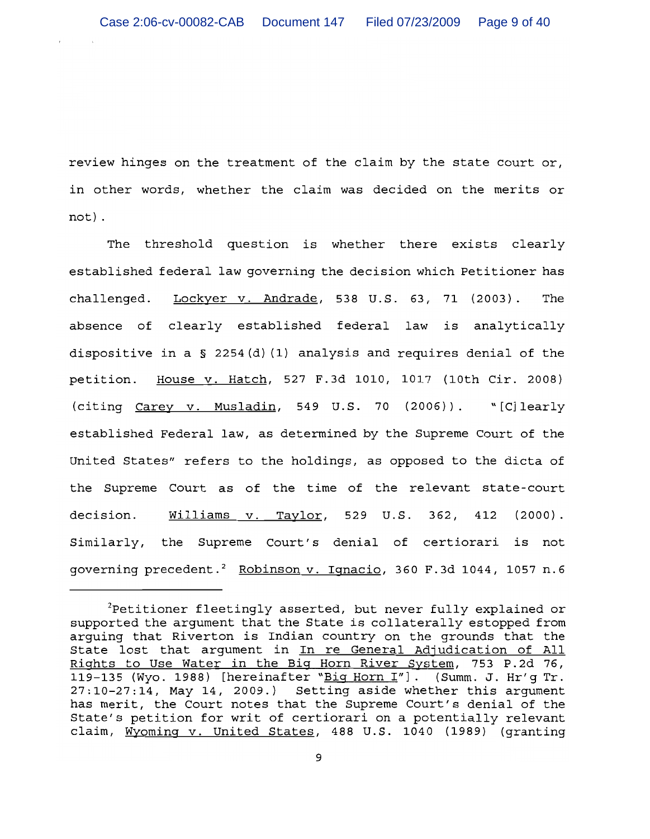review hinges on the treatment of the claim by the state court or, in other words, whether the claim was decided on the merits or not).

The threshold question is whether there exists clearly established federal law governing the decision which Petitioner has challenged. Lockyer v. Andrade, 538 U.S. 63, 71 (2003). The absence of clearly established federal law is analytically dispositive in a  $\S$  2254(d)(1) analysis and requires denial of the petition. House v. Hatch, 527 F.3d 1010, 1017 (10th Cir. 2008) (citing Carey v. Musladin, 549 U.S. 70 (2006)). "[C] learly established Federal law, as determined by the Supreme Court of the United States" refers to the holdings, as opposed to the dicta of the Supreme Court as of the time of the relevant state-court Williams v. Taylor, 529 U.S. 362, 412 (2000). decision. Similarly, the Supreme Court's denial of certiorari is not governing precedent.<sup>2</sup> Robinson v. Ignacio, 360 F.3d 1044, 1057 n.6

 ${}^{2}$ Petitioner fleetingly asserted, but never fully explained or supported the argument that the State is collaterally estopped from arguing that Riverton is Indian country on the grounds that the State lost that argument in In re General Adjudication of All Rights to Use Water in the Big Horn River System, 753 P.2d 76, 119-135 (Wyo. 1988) [hereinafter "Big Horn I"]. (Summ. J. Hr'g Tr. 27:10-27:14, May 14, 2009.) Setting aside whether this argument has merit, the Court notes that the Supreme Court's denial of the State's petition for writ of certiorari on a potentially relevant claim, Wyoming v. United States, 488 U.S. 1040 (1989) (granting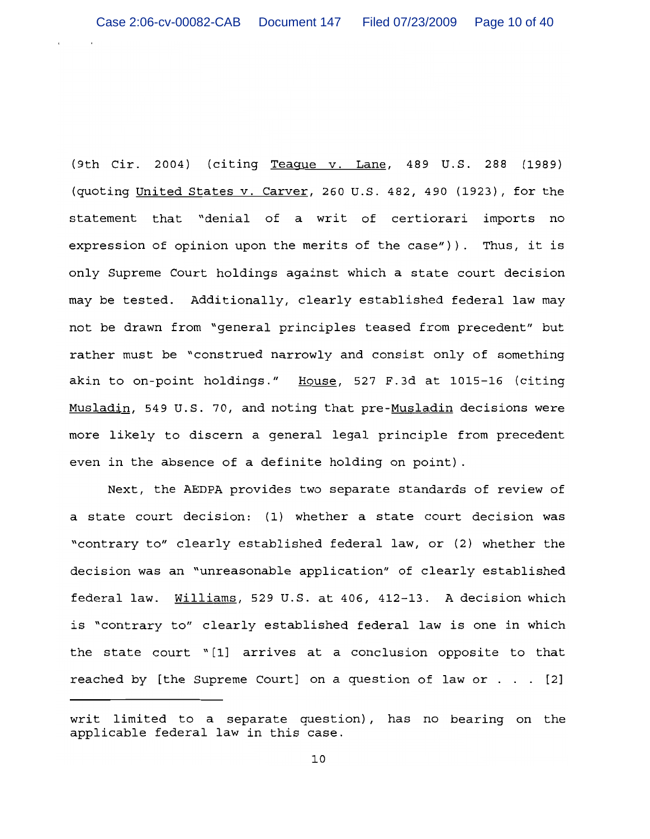(9th Cir. 2004) (citing Teague v. Lane, 489 U.S. 288 (1989) (quoting United States v. Carver, 260 U.S. 482, 490 (1923), for the statement that "denial of a writ of certiorari imports no expression of opinion upon the merits of the case")). Thus, it is only Supreme Court holdings against which a state court decision may be tested. Additionally, clearly established federal law may not be drawn from "general principles teased from precedent" but rather must be "construed narrowly and consist only of something akin to on-point holdings." House, 527 F.3d at 1015-16 (citing Musladin, 549 U.S. 70, and noting that pre-Musladin decisions were more likely to discern a general legal principle from precedent even in the absence of a definite holding on point).

Next, the AEDPA provides two separate standards of review of a state court decision: (1) whether a state court decision was "contrary to" clearly established federal law, or (2) whether the decision was an "unreasonable application" of clearly established federal law. Williams, 529 U.S. at 406, 412-13. A decision which is "contrary to" clearly established federal law is one in which the state court "[1] arrives at a conclusion opposite to that reached by [the Supreme Court] on a question of law or . . . [2]

writ limited to a separate question), has no bearing on the applicable federal law in this case.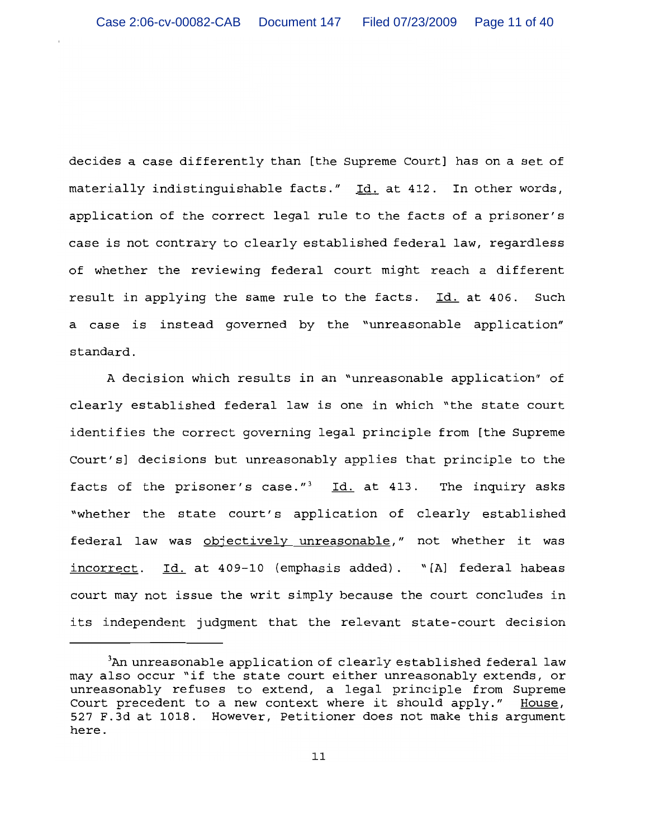decides a case differently than [the Supreme Court] has on a set of materially indistinguishable facts." Id. at 412. In other words, application of the correct legal rule to the facts of a prisoner's case is not contrary to clearly established federal law, regardless of whether the reviewing federal court might reach a different result in applying the same rule to the facts. Id. at 406. Such a case is instead governed by the "unreasonable application" standard.

A decision which results in an "unreasonable application" of clearly established federal law is one in which "the state court identifies the correct governing legal principle from [the Supreme Court's] decisions but unreasonably applies that principle to the facts of the prisoner's case."<sup>3</sup> Id. at 413. The inquiry asks "whether the state court's application of clearly established federal law was objectively unreasonable," not whether it was incorrect. Id. at 409-10 (emphasis added). "[A] federal habeas court may not issue the writ simply because the court concludes in its independent judgment that the relevant state-court decision

<sup>&</sup>lt;sup>3</sup>An unreasonable application of clearly established federal law may also occur "if the state court either unreasonably extends, or unreasonably refuses to extend, a legal principle from Supreme Court precedent to a new context where it should apply." House, 527 F.3d at 1018. However, Petitioner does not make this argument here.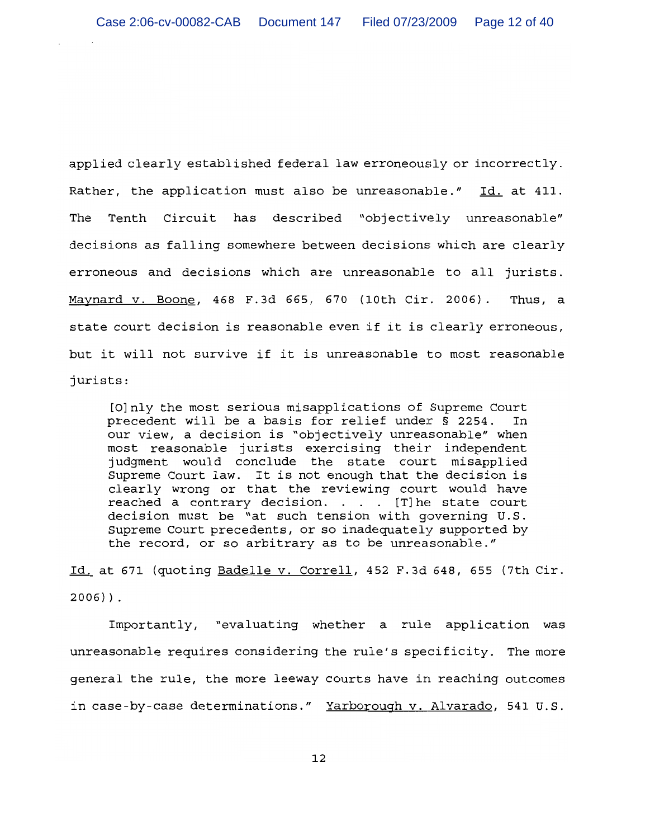applied clearly established federal law erroneously or incorrectly. Rather, the application must also be unreasonable." Id. at 411. Tenth Circuit has described "objectively unreasonable" The decisions as falling somewhere between decisions which are clearly erroneous and decisions which are unreasonable to all jurists. Maynard v. Boone, 468 F.3d 665, 670 (10th Cir. 2006). Thus, a state court decision is reasonable even if it is clearly erroneous, but it will not survive if it is unreasonable to most reasonable jurists:

[O] nly the most serious misapplications of Supreme Court precedent will be a basis for relief under § 2254. In our view, a decision is "objectively unreasonable" when most reasonable jurists exercising their independent judgment would conclude the state court misapplied Supreme Court law. It is not enough that the decision is clearly wrong or that the reviewing court would have reached a contrary decision. . . . [T] he state court decision must be "at such tension with governing U.S. Supreme Court precedents, or so inadequately supported by the record, or so arbitrary as to be unreasonable."

Id. at 671 (quoting Badelle v. Correll, 452 F.3d 648, 655 (7th Cir.  $2006)$ ).

Importantly, "evaluating whether a rule application was unreasonable requires considering the rule's specificity. The more general the rule, the more leeway courts have in reaching outcomes in case-by-case determinations." Yarborough v. Alvarado, 541 U.S.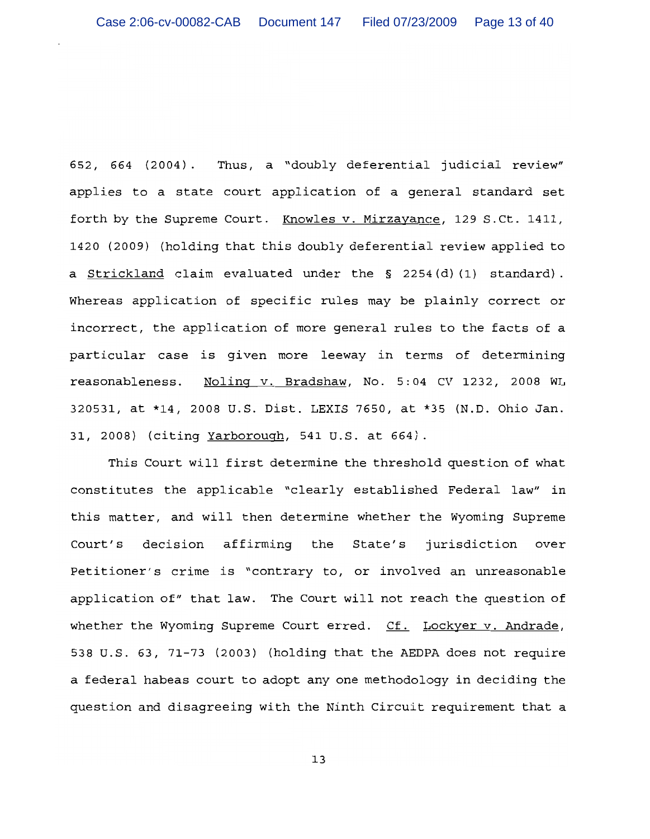652, 664 (2004). Thus, a "doubly deferential judicial review" applies to a state court application of a general standard set forth by the Supreme Court. Knowles v. Mirzayance, 129 S.Ct. 1411, 1420 (2009) (holding that this doubly deferential review applied to a Strickland claim evaluated under the § 2254(d)(1) standard). Whereas application of specific rules may be plainly correct or incorrect, the application of more general rules to the facts of a particular case is given more leeway in terms of determining reasonableness. Noling v. Bradshaw, No. 5:04 CV 1232, 2008 WL 320531, at \*14, 2008 U.S. Dist. LEXIS 7650, at \*35 (N.D. Ohio Jan. 31, 2008) (citing Yarborough, 541 U.S. at 664).

This Court will first determine the threshold question of what constitutes the applicable "clearly established Federal law" in this matter, and will then determine whether the Wyoming Supreme decision affirming the State's jurisdiction over Court's Petitioner's crime is "contrary to, or involved an unreasonable application of" that law. The Court will not reach the question of whether the Wyoming Supreme Court erred. Cf. Lockyer v. Andrade, 538 U.S. 63, 71-73 (2003) (holding that the AEDPA does not require a federal habeas court to adopt any one methodology in deciding the question and disagreeing with the Ninth Circuit requirement that a

1 ว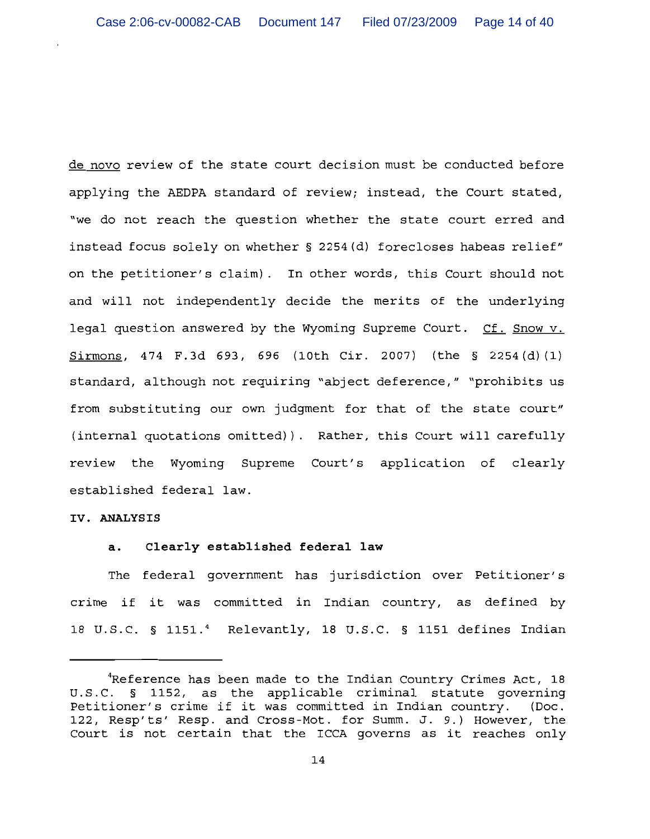de novo review of the state court decision must be conducted before applying the AEDPA standard of review; instead, the Court stated, "we do not reach the question whether the state court erred and instead focus solely on whether § 2254(d) forecloses habeas relief" on the petitioner's claim). In other words, this Court should not and will not independently decide the merits of the underlying legal question answered by the Wyoming Supreme Court. Cf. Snow v.  $Sirmons$ , 474 F.3d 693, 696 (10th Cir. 2007) (the § 2254(d)(1) standard, although not requiring "abject deference," "prohibits us from substituting our own judgment for that of the state court" (internal quotations omitted)). Rather, this Court will carefully review the Wyoming Supreme Court's application of clearly established federal law.

### IV. ANALYSIS

#### Clearly established federal law  $a.$

The federal government has jurisdiction over Petitioner's crime if it was committed in Indian country, as defined by 18 U.S.C. § 1151.4 Relevantly, 18 U.S.C. § 1151 defines Indian

<sup>&</sup>quot;Reference has been made to the Indian Country Crimes Act, 18 U.S.C. § 1152, as the applicable criminal statute governing Petitioner's crime if it was committed in Indian country. (Doc. 122, Resp'ts' Resp. and Cross-Mot. for Summ. J. 9.) However, the Court is not certain that the ICCA governs as it reaches only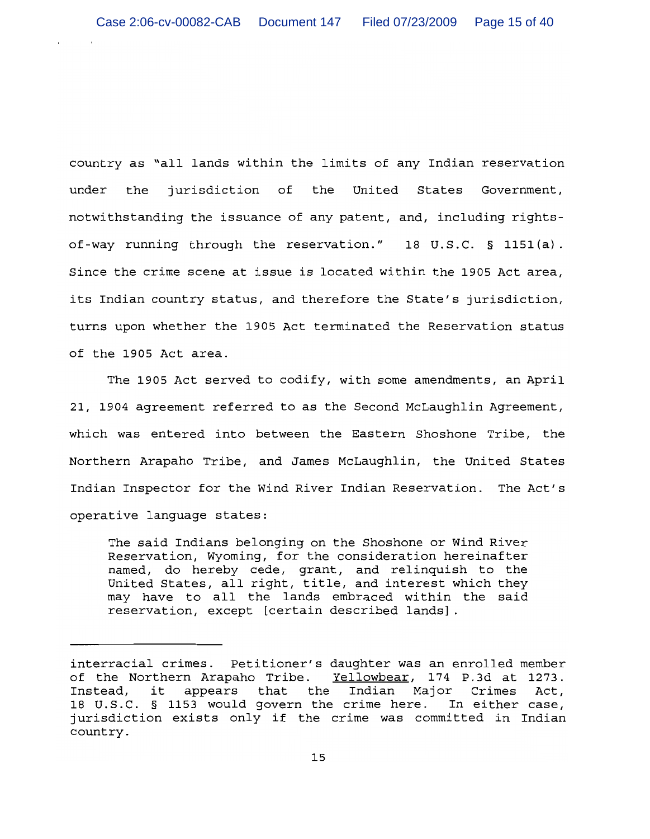country as "all lands within the limits of any Indian reservation under the jurisdiction of the United States Government, notwithstanding the issuance of any patent, and, including rightsof-way running through the reservation." 18 U.S.C. § 1151(a). Since the crime scene at issue is located within the 1905 Act area, its Indian country status, and therefore the State's jurisdiction, turns upon whether the 1905 Act terminated the Reservation status of the 1905 Act area.

The 1905 Act served to codify, with some amendments, an April 21, 1904 agreement referred to as the Second McLaughlin Agreement, which was entered into between the Eastern Shoshone Tribe, the Northern Arapaho Tribe, and James McLaughlin, the United States Indian Inspector for the Wind River Indian Reservation. The Act's operative language states:

The said Indians belonging on the Shoshone or Wind River Reservation, Wyoming, for the consideration hereinafter named, do hereby cede, grant, and relinquish to the United States, all right, title, and interest which they may have to all the lands embraced within the said reservation, except [certain described lands].

interracial crimes. Petitioner's daughter was an enrolled member of the Northern Arapaho Tribe. Yellowbear, 174 P.3d at 1273. Instead, it appears that the Indian Major Crimes Act, 18 U.S.C. § 1153 would govern the crime here. In either case, jurisdiction exists only if the crime was committed in Indian country.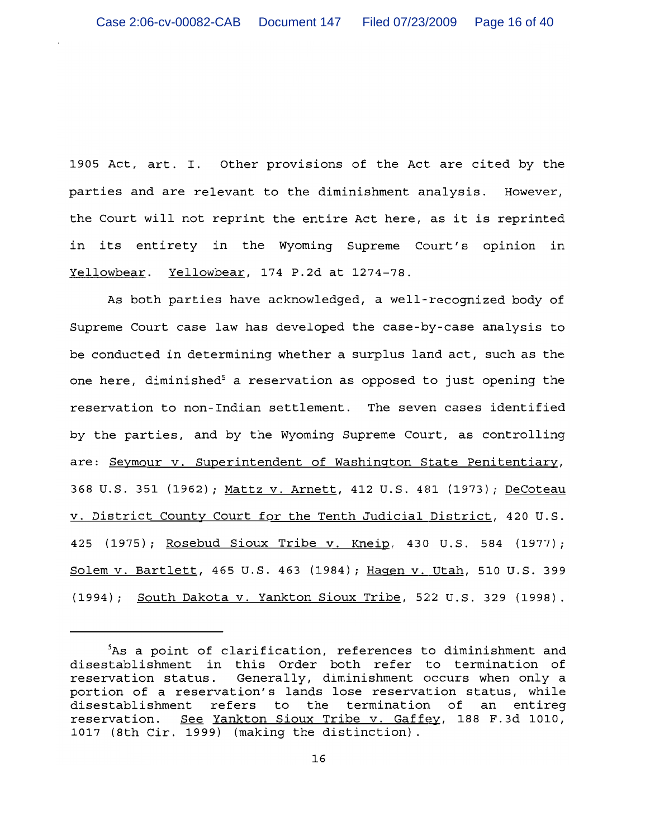1905 Act, art. I. Other provisions of the Act are cited by the parties and are relevant to the diminishment analysis. However, the Court will not reprint the entire Act here, as it is reprinted in its entirety in the Wyoming Supreme Court's opinion in Yellowbear. Yellowbear, 174 P.2d at 1274-78.

As both parties have acknowledged, a well-recognized body of Supreme Court case law has developed the case-by-case analysis to be conducted in determining whether a surplus land act, such as the one here, diminished<sup>5</sup> a reservation as opposed to just opening the reservation to non-Indian settlement. The seven cases identified by the parties, and by the Wyoming Supreme Court, as controlling are: Seymour v. Superintendent of Washington State Penitentiary, 368 U.S. 351 (1962); Mattz v. Arnett, 412 U.S. 481 (1973); DeCoteau v. District County Court for the Tenth Judicial District, 420 U.S. 425 (1975); Rosebud Sioux Tribe v. Kneip, 430 U.S. 584 (1977); Solem v. Bartlett, 465 U.S. 463 (1984); Hagen v. Utah, 510 U.S. 399 (1994); South Dakota v. Yankton Sioux Tribe, 522 U.S. 329 (1998).

As a point of clarification, references to diminishment and disestablishment in this Order both refer to termination of reservation status. Generally, diminishment occurs when only a portion of a reservation's lands lose reservation status, while disestablishment refers to the termination of an entireg reservation. See Yankton Sioux Tribe v. Gaffey, 188 F.3d 1010, 1017 (8th Cir. 1999) (making the distinction).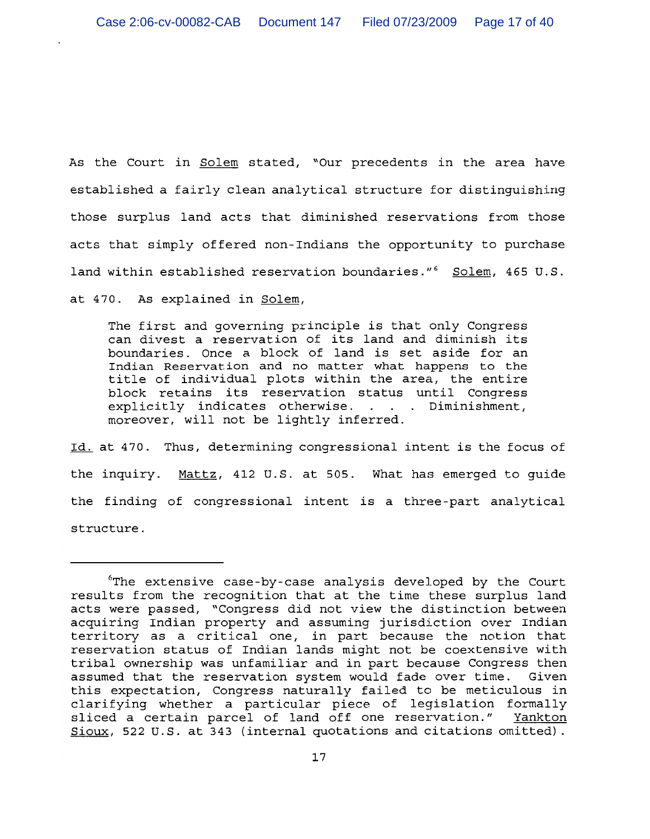As the Court in Solem stated, "Our precedents in the area have established a fairly clean analytical structure for distinguishing those surplus land acts that diminished reservations from those acts that simply offered non-Indians the opportunity to purchase land within established reservation boundaries."<sup>6</sup> Solem, 465 U.S.

at 470. As explained in Solem,

The first and governing principle is that only Congress can divest a reservation of its land and diminish its boundaries. Once a block of land is set aside for an Indian Reservation and no matter what happens to the title of individual plots within the area, the entire block retains its reservation status until Congress explicitly indicates otherwise. . . . Diminishment, moreover, will not be lightly inferred.

Id. at 470. Thus, determining congressional intent is the focus of the inquiry. Mattz, 412 U.S. at 505. What has emerged to quide the finding of congressional intent is a three-part analytical structure.

<sup>&</sup>quot;The extensive case-by-case analysis developed by the Court results from the recognition that at the time these surplus land acts were passed, "Congress did not view the distinction between acquiring Indian property and assuming jurisdiction over Indian territory as a critical one, in part because the notion that reservation status of Indian lands might not be coextensive with tribal ownership was unfamiliar and in part because Congress then assumed that the reservation system would fade over time. Given this expectation, Congress naturally failed to be meticulous in clarifying whether a particular piece of legislation formally sliced a certain parcel of land off one reservation." Yankton Sioux, 522 U.S. at 343 (internal quotations and citations omitted).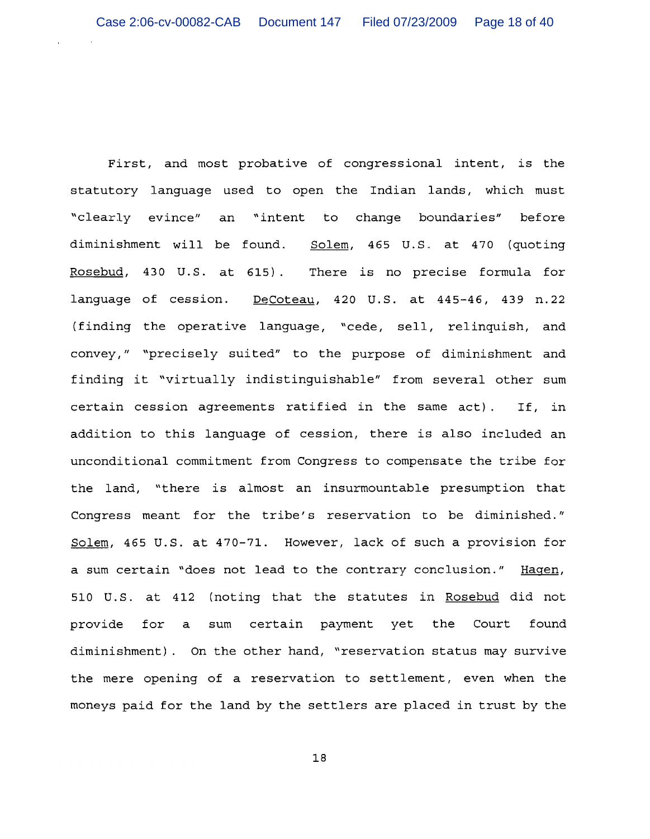First, and most probative of congressional intent, is the statutory language used to open the Indian lands, which must "clearly evince" an "intent to change boundaries" before diminishment will be found. Solem, 465 U.S. at 470 (quoting Rosebud, 430 U.S. at 615). There is no precise formula for language of cession. DeCoteau, 420 U.S. at 445-46, 439 n.22 (finding the operative language, "cede, sell, relinquish, and convey," "precisely suited" to the purpose of diminishment and finding it "virtually indistinguishable" from several other sum certain cession agreements ratified in the same act). If, in addition to this language of cession, there is also included an unconditional commitment from Congress to compensate the tribe for the land, "there is almost an insurmountable presumption that Congress meant for the tribe's reservation to be diminished." Solem, 465 U.S. at 470-71. However, lack of such a provision for a sum certain "does not lead to the contrary conclusion." Hagen, 510 U.S. at 412 (noting that the statutes in Rosebud did not provide for a sum certain payment yet the Court found diminishment). On the other hand, "reservation status may survive the mere opening of a reservation to settlement, even when the moneys paid for the land by the settlers are placed in trust by the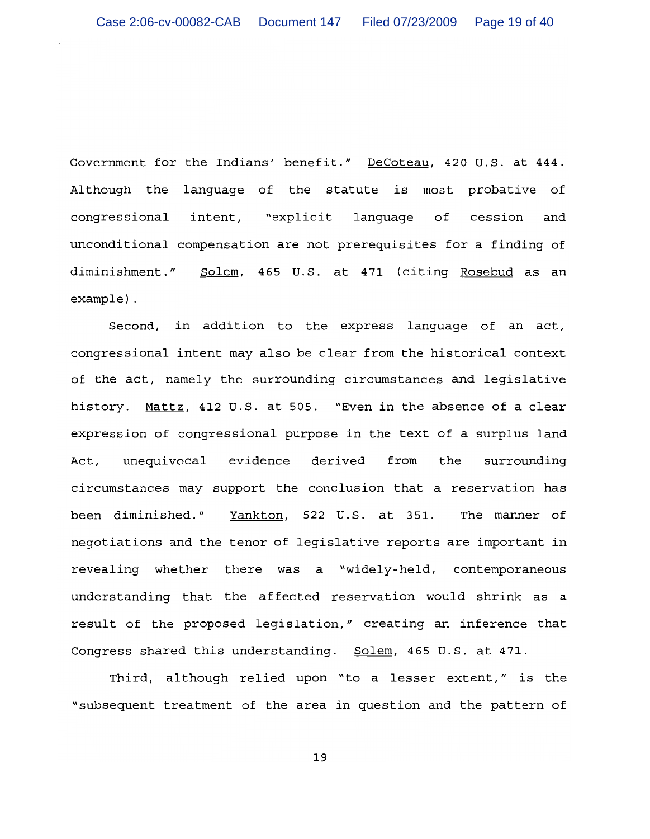Government for the Indians' benefit." DeCoteau, 420 U.S. at 444. Although the language of the statute is most probative of congressional intent, "explicit lanquaqe of cession and unconditional compensation are not prerequisites for a finding of Solem, 465 U.S. at 471 (citing Rosebud as an diminishment."  $example$ ).

Second, in addition to the express language of an act, congressional intent may also be clear from the historical context of the act, namely the surrounding circumstances and legislative history. Mattz, 412 U.S. at 505. "Even in the absence of a clear expression of congressional purpose in the text of a surplus land unequivocal evidence derived from the surrounding Act, circumstances may support the conclusion that a reservation has been diminished." Yankton, 522 U.S. at 351. The manner of negotiations and the tenor of legislative reports are important in revealing whether there was a "widely-held, contemporaneous understanding that the affected reservation would shrink as a result of the proposed legislation," creating an inference that Congress shared this understanding. Solem, 465 U.S. at 471.

Third, although relied upon "to a lesser extent," is the "subsequent treatment of the area in question and the pattern of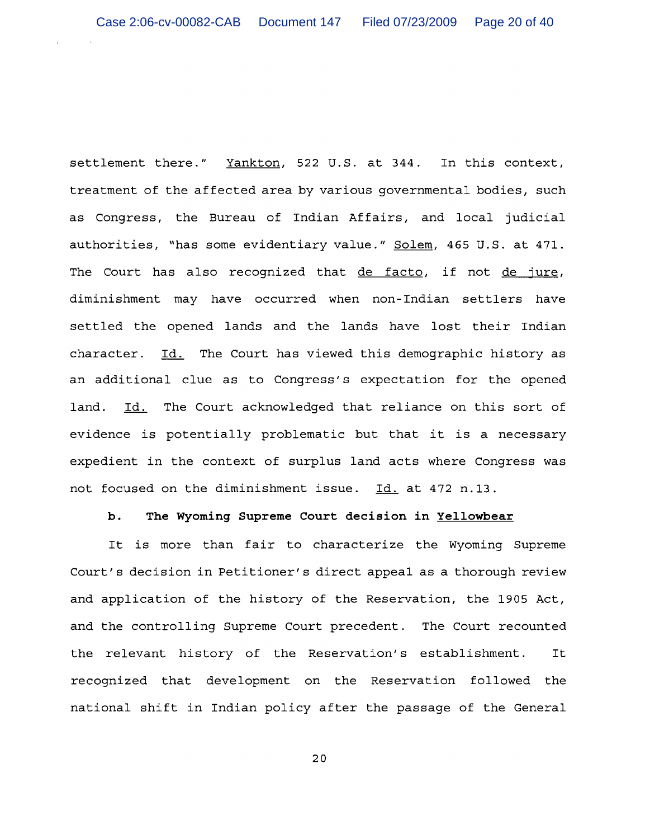settlement there." Yankton, 522 U.S. at 344. In this context, treatment of the affected area by various governmental bodies, such as Congress, the Bureau of Indian Affairs, and local judicial authorities, "has some evidentiary value." Solem, 465 U.S. at 471. The Court has also recognized that de facto, if not de jure, diminishment may have occurred when non-Indian settlers have settled the opened lands and the lands have lost their Indian character. Id. The Court has viewed this demographic history as an additional clue as to Congress's expectation for the opened Id. The Court acknowledged that reliance on this sort of land. evidence is potentially problematic but that it is a necessary expedient in the context of surplus land acts where Congress was not focused on the diminishment issue. Id. at 472 n.13.

### b. The Wyoming Supreme Court decision in Yellowbear

It is more than fair to characterize the Wyoming Supreme Court's decision in Petitioner's direct appeal as a thorough review and application of the history of the Reservation, the 1905 Act, and the controlling Supreme Court precedent. The Court recounted the relevant history of the Reservation's establishment. It recognized that development on the Reservation followed the national shift in Indian policy after the passage of the General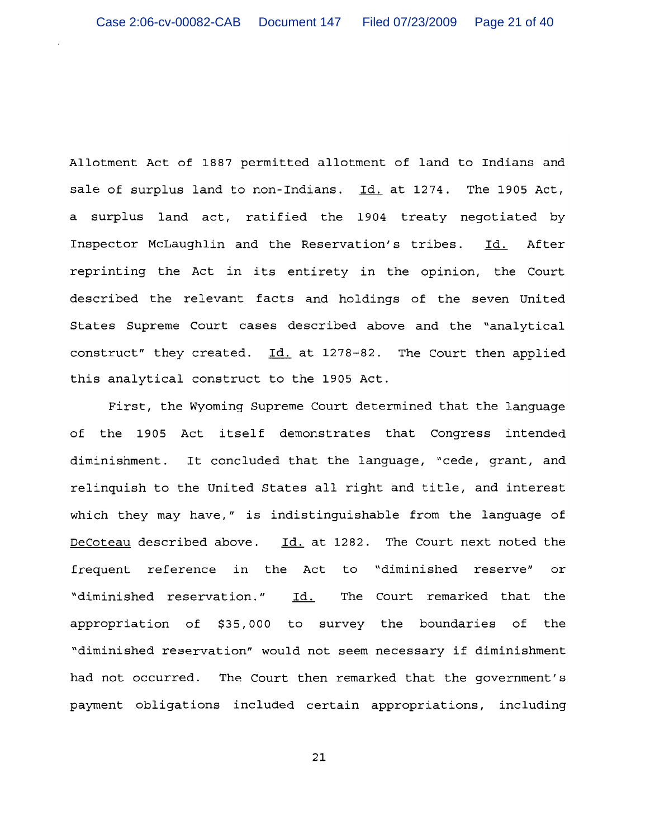Allotment Act of 1887 permitted allotment of land to Indians and sale of surplus land to non-Indians. Id. at 1274. The 1905 Act, a surplus land act, ratified the 1904 treaty negotiated by Inspector McLaughlin and the Reservation's tribes. Id. After reprinting the Act in its entirety in the opinion, the Court described the relevant facts and holdings of the seven United States Supreme Court cases described above and the "analytical construct" they created. Id. at 1278-82. The Court then applied this analytical construct to the 1905 Act.

First, the Wyoming Supreme Court determined that the language of the 1905 Act itself demonstrates that Congress intended diminishment. It concluded that the language, "cede, grant, and relinquish to the United States all right and title, and interest which they may have," is indistinguishable from the language of DeCoteau described above. Id. at 1282. The Court next noted the frequent reference in the Act to "diminished reserve" or "diminished reservation." Id. The Court remarked that the appropriation of \$35,000 to survey the boundaries of the "diminished reservation" would not seem necessary if diminishment had not occurred. The Court then remarked that the government's payment obligations included certain appropriations, including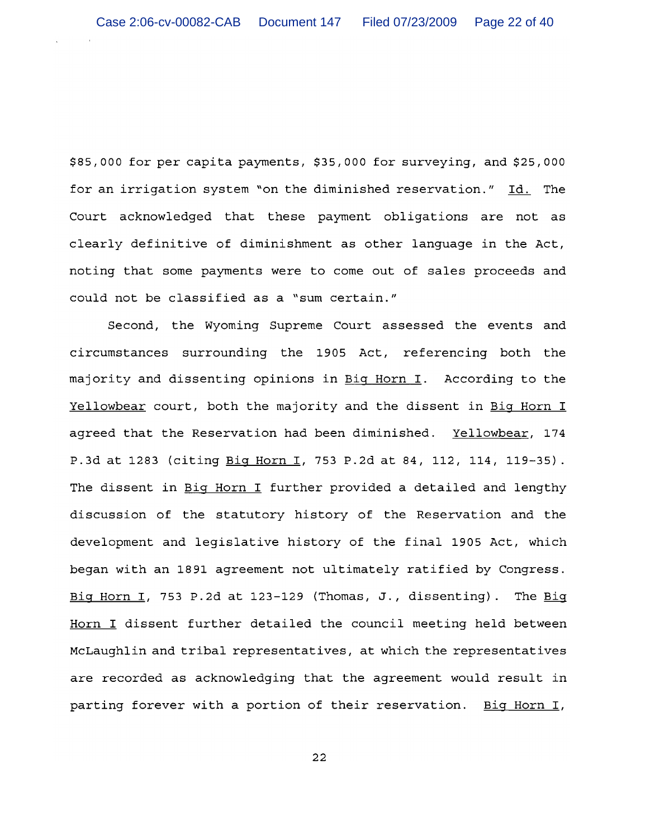\$85,000 for per capita payments, \$35,000 for surveying, and \$25,000 for an irrigation system "on the diminished reservation." Id. The Court acknowledged that these payment obligations are not as clearly definitive of diminishment as other language in the Act, noting that some payments were to come out of sales proceeds and could not be classified as a "sum certain."

Second, the Wyoming Supreme Court assessed the events and circumstances surrounding the 1905 Act, referencing both the majority and dissenting opinions in Big Horn I. According to the Yellowbear court, both the majority and the dissent in Big Horn I agreed that the Reservation had been diminished. Yellowbear, 174 P.3d at 1283 (citing Big Horn I, 753 P.2d at 84, 112, 114, 119-35). The dissent in Big Horn I further provided a detailed and lengthy discussion of the statutory history of the Reservation and the development and legislative history of the final 1905 Act, which began with an 1891 agreement not ultimately ratified by Congress. Big Horn I, 753 P.2d at 123-129 (Thomas, J., dissenting). The Big Horn I dissent further detailed the council meeting held between McLaughlin and tribal representatives, at which the representatives are recorded as acknowledging that the agreement would result in parting forever with a portion of their reservation. Big Horn I,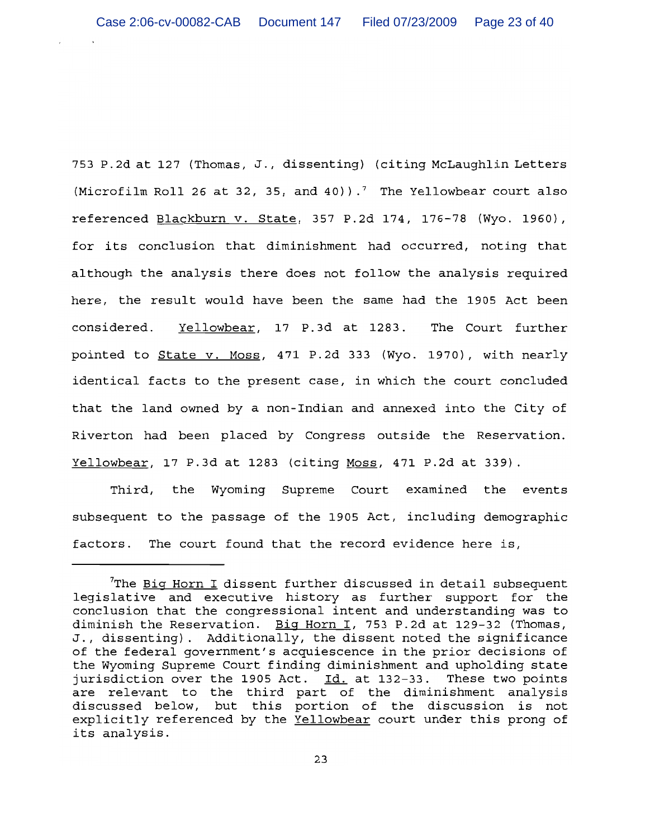753 P.2d at 127 (Thomas, J., dissenting) (citing McLaughlin Letters (Microfilm Roll 26 at 32, 35, and 40)).<sup>7</sup> The Yellowbear court also referenced Blackburn v. State, 357 P.2d 174, 176-78 (Wyo. 1960), for its conclusion that diminishment had occurred, noting that although the analysis there does not follow the analysis required here, the result would have been the same had the 1905 Act been Yellowbear, 17 P.3d at 1283. The Court further considered. pointed to State v. Moss, 471 P.2d 333 (Wyo. 1970), with nearly identical facts to the present case, in which the court concluded that the land owned by a non-Indian and annexed into the City of Riverton had been placed by Congress outside the Reservation. Yellowbear, 17 P.3d at 1283 (citing Moss, 471 P.2d at 339).

Third, the Wyoming Supreme Court examined the events subsequent to the passage of the 1905 Act, including demographic factors. The court found that the record evidence here is,

 $7$ The Biq Horn I dissent further discussed in detail subsequent legislative and executive history as further support for the conclusion that the congressional intent and understanding was to diminish the Reservation. Big Horn I, 753 P.2d at 129-32 (Thomas, J., dissenting). Additionally, the dissent noted the significance of the federal government's acquiescence in the prior decisions of the Wyoming Supreme Court finding diminishment and upholding state jurisdiction over the 1905 Act. Id. at 132-33. These two points are relevant to the third part of the diminishment analysis discussed below, but this portion of the discussion is not explicitly referenced by the Yellowbear court under this prong of its analysis.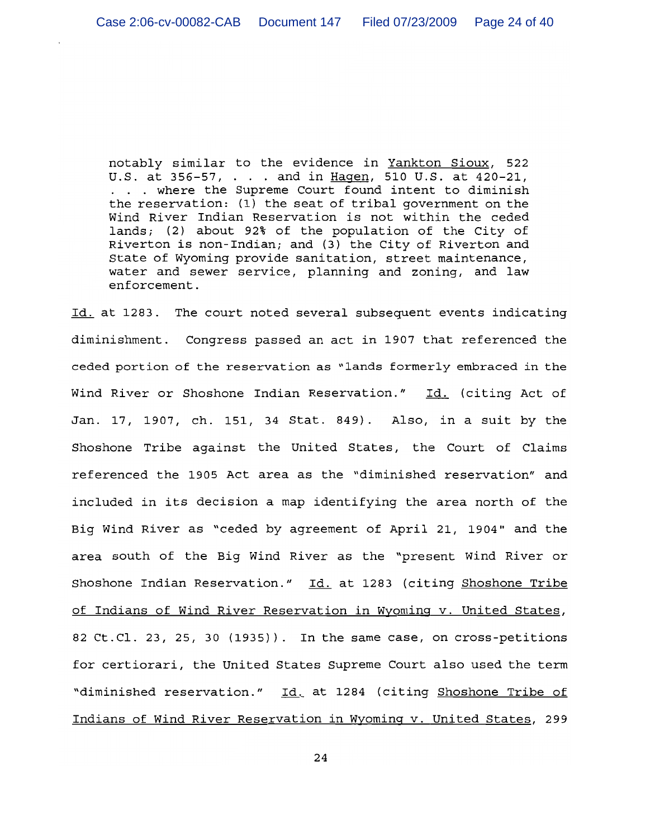notably similar to the evidence in Yankton Sioux, 522 U.S. at 356-57, . . . and in Hagen, 510 U.S. at 420-21, . . . where the Supreme Court found intent to diminish the reservation: (1) the seat of tribal government on the Wind River Indian Reservation is not within the ceded lands; (2) about 92% of the population of the City of Riverton is non-Indian; and (3) the City of Riverton and State of Wyoming provide sanitation, street maintenance, water and sewer service, planning and zoning, and law enforcement.

Id. at 1283. The court noted several subsequent events indicating diminishment. Congress passed an act in 1907 that referenced the ceded portion of the reservation as "lands formerly embraced in the Wind River or Shoshone Indian Reservation." Id. (citing Act of Jan. 17, 1907, ch. 151, 34 Stat. 849). Also, in a suit by the Shoshone Tribe against the United States, the Court of Claims referenced the 1905 Act area as the "diminished reservation" and included in its decision a map identifying the area north of the Big Wind River as "ceded by agreement of April 21, 1904" and the area south of the Big Wind River as the "present Wind River or Shoshone Indian Reservation." Id. at 1283 (citing Shoshone Tribe of Indians of Wind River Reservation in Wyoming v. United States, 82 Ct.Cl. 23, 25, 30 (1935)). In the same case, on cross-petitions for certiorari, the United States Supreme Court also used the term "diminished reservation." Id. at 1284 (citing Shoshone Tribe of Indians of Wind River Reservation in Wyoming v. United States, 299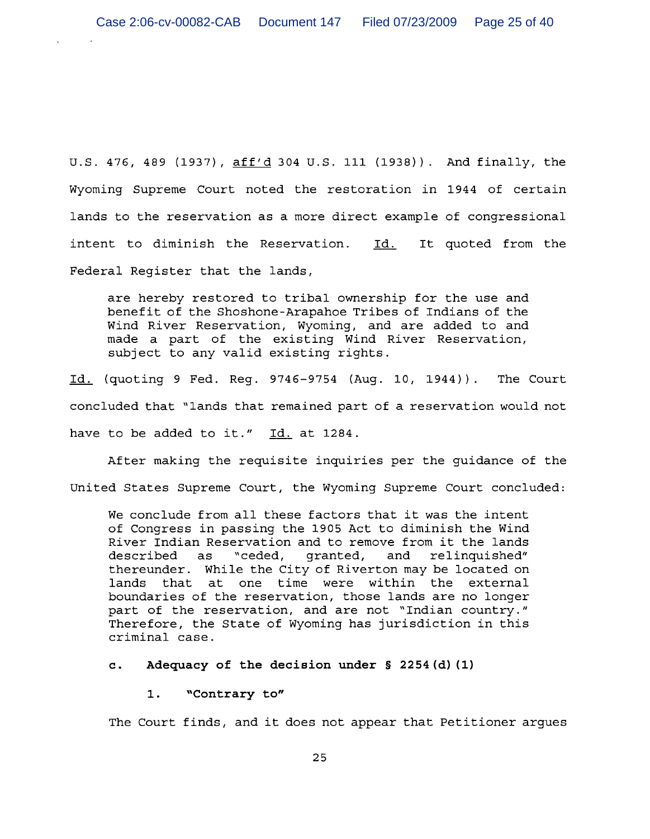U.S. 476, 489 (1937), aff'd 304 U.S. 111 (1938)). And finally, the Wyoming Supreme Court noted the restoration in 1944 of certain lands to the reservation as a more direct example of congressional intent to diminish the Reservation. Id. It quoted from the Federal Register that the lands,

are hereby restored to tribal ownership for the use and benefit of the Shoshone-Arapahoe Tribes of Indians of the Wind River Reservation, Wyoming, and are added to and made a part of the existing Wind River Reservation, subject to any valid existing rights.

Id. (quoting 9 Fed. Reg. 9746-9754 (Aug. 10, 1944)). The Court concluded that "lands that remained part of a reservation would not have to be added to it." Id. at 1284.

After making the requisite inquiries per the guidance of the United States Supreme Court, the Wyoming Supreme Court concluded:

We conclude from all these factors that it was the intent of Congress in passing the 1905 Act to diminish the Wind River Indian Reservation and to remove from it the lands described as "ceded, granted, and relinquished" thereunder. While the City of Riverton may be located on lands that at one time were within the external boundaries of the reservation, those lands are no longer part of the reservation, and are not "Indian country." Therefore, the State of Wyoming has jurisdiction in this criminal case.

Adequacy of the decision under § 2254 (d) (1)  $\mathbf{c}$ .

"Contrary to"  $1.$ 

The Court finds, and it does not appear that Petitioner argues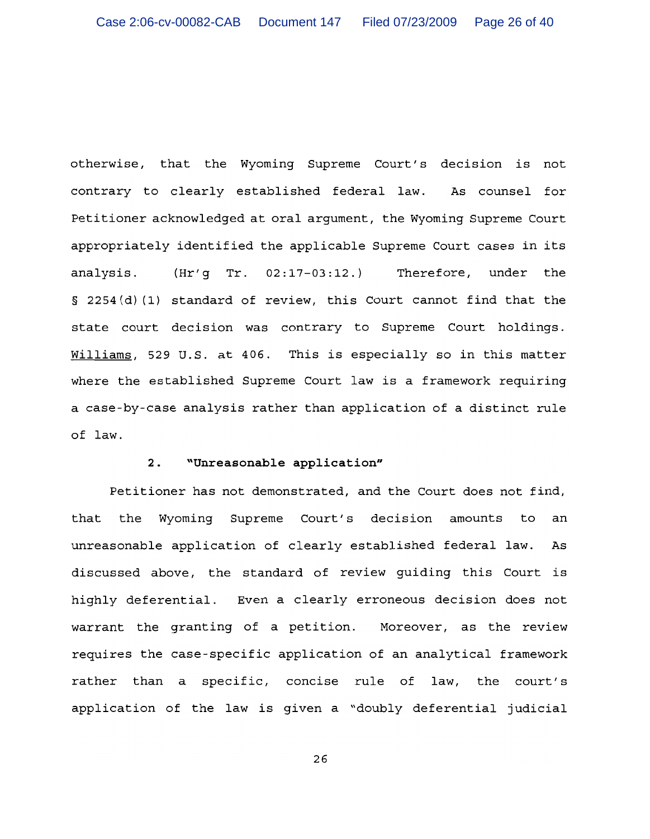otherwise, that the Wyoming Supreme Court's decision is not contrary to clearly established federal law. As counsel for Petitioner acknowledged at oral argument, the Wyoming Supreme Court appropriately identified the applicable Supreme Court cases in its  $(Hr'g$  Tr.  $02:17-03:12.$ Therefore, under the analysis. § 2254(d)(1) standard of review, this Court cannot find that the state court decision was contrary to Supreme Court holdings. Williams, 529 U.S. at 406. This is especially so in this matter where the established Supreme Court law is a framework requiring a case-by-case analysis rather than application of a distinct rule of law.

### "Unreasonable application"  $2.$

Petitioner has not demonstrated, and the Court does not find, that the Wyoming Supreme Court's decision amounts to an unreasonable application of clearly established federal law. As discussed above, the standard of review quiding this Court is highly deferential. Even a clearly erroneous decision does not warrant the granting of a petition. Moreover, as the review requires the case-specific application of an analytical framework rather than a specific, concise rule of law, the court's application of the law is given a "doubly deferential judicial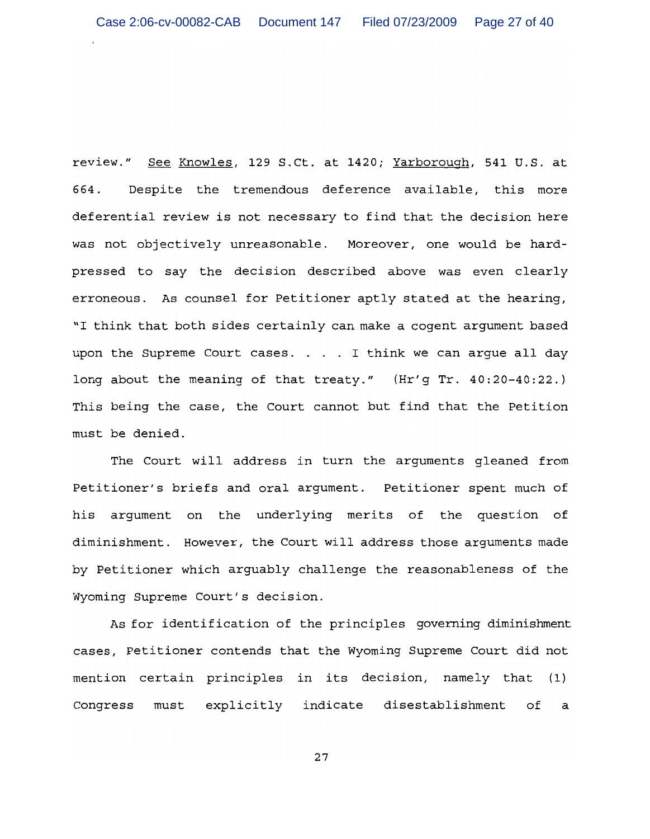review." See Knowles, 129 S.Ct. at 1420; Yarborough, 541 U.S. at Despite the tremendous deference available, this more 664. deferential review is not necessary to find that the decision here was not objectively unreasonable. Moreover, one would be hardpressed to say the decision described above was even clearly erroneous. As counsel for Petitioner aptly stated at the hearing, "I think that both sides certainly can make a cogent argument based upon the Supreme Court cases. . . . I think we can argue all day long about the meaning of that treaty." (Hr'g Tr. 40:20-40:22.) This being the case, the Court cannot but find that the Petition must be denied.

The Court will address in turn the arguments gleaned from Petitioner's briefs and oral argument. Petitioner spent much of his argument on the underlying merits of the question of diminishment. However, the Court will address those arguments made by Petitioner which arguably challenge the reasonableness of the Wyoming Supreme Court's decision.

As for identification of the principles governing diminishment cases, Petitioner contends that the Wyoming Supreme Court did not mention certain principles in its decision, namely that (1) explicitly indicate disestablishment of Congress must a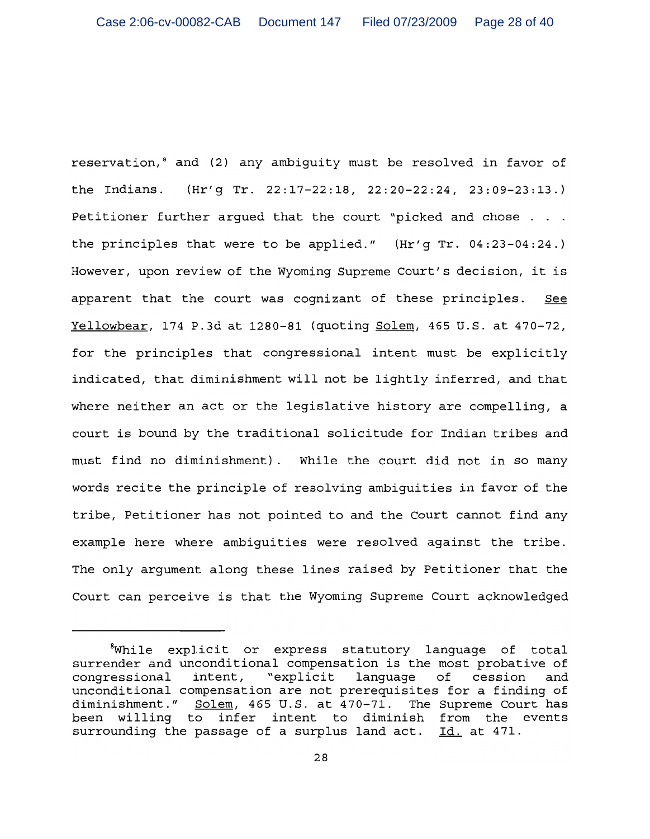reservation,<sup>8</sup> and (2) any ambiguity must be resolved in favor of the Indians. (Hr'g Tr. 22:17-22:18, 22:20-22:24, 23:09-23:13.) Petitioner further argued that the court "picked and chose . . . the principles that were to be applied."  $(Kr'g Tr. 04:23-04:24.)$ However, upon review of the Wyoming Supreme Court's decision, it is apparent that the court was cognizant of these principles. See Yellowbear, 174 P.3d at 1280-81 (quoting Solem, 465 U.S. at 470-72, for the principles that congressional intent must be explicitly indicated, that diminishment will not be lightly inferred, and that where neither an act or the legislative history are compelling, a court is bound by the traditional solicitude for Indian tribes and must find no diminishment). While the court did not in so many words recite the principle of resolving ambiguities in favor of the tribe, Petitioner has not pointed to and the Court cannot find any example here where ambiguities were resolved against the tribe. The only argument along these lines raised by Petitioner that the Court can perceive is that the Wyoming Supreme Court acknowledged

<sup>&</sup>lt;sup>8</sup>While explicit or express statutory language of total surrender and unconditional compensation is the most probative of congressional intent, "explicit language of cession and unconditional compensation are not prerequisites for a finding of diminishment."  $\frac{1}{\text{Solem}}$ , 465 U.S. at  $\frac{1}{4}70-71$ . The Supreme Court has been willing to infer intent to diminish from the events surrounding the passage of a surplus land act. Id. at 471.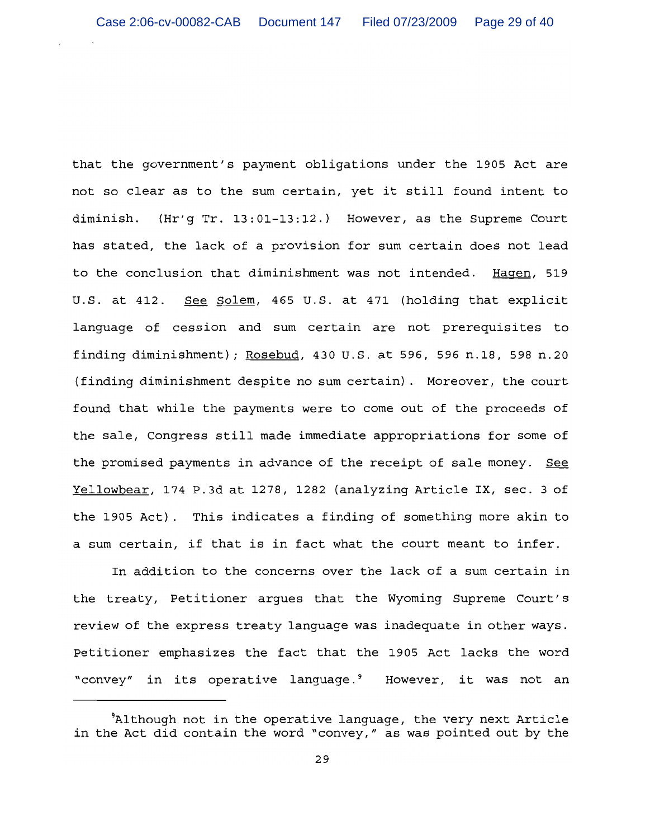that the government's payment obligations under the 1905 Act are not so clear as to the sum certain, yet it still found intent to diminish. (Hr'q Tr. 13:01-13:12.) However, as the Supreme Court has stated, the lack of a provision for sum certain does not lead to the conclusion that diminishment was not intended. Hagen, 519 See Solem, 465 U.S. at 471 (holding that explicit U.S. at 412. language of cession and sum certain are not prerequisites to finding diminishment); Rosebud, 430 U.S. at 596, 596 n.18, 598 n.20 (finding diminishment despite no sum certain). Moreover, the court found that while the payments were to come out of the proceeds of the sale, Congress still made immediate appropriations for some of the promised payments in advance of the receipt of sale money. See Yellowbear, 174 P.3d at 1278, 1282 (analyzing Article IX, sec. 3 of the 1905 Act). This indicates a finding of something more akin to a sum certain, if that is in fact what the court meant to infer.

In addition to the concerns over the lack of a sum certain in the treaty, Petitioner arques that the Wyoming Supreme Court's review of the express treaty language was inadequate in other ways. Petitioner emphasizes the fact that the 1905 Act lacks the word "convey" in its operative language.<sup>9</sup> However, it was not an

<sup>&</sup>lt;sup>9</sup>Although not in the operative language, the very next Article in the Act did contain the word "convey," as was pointed out by the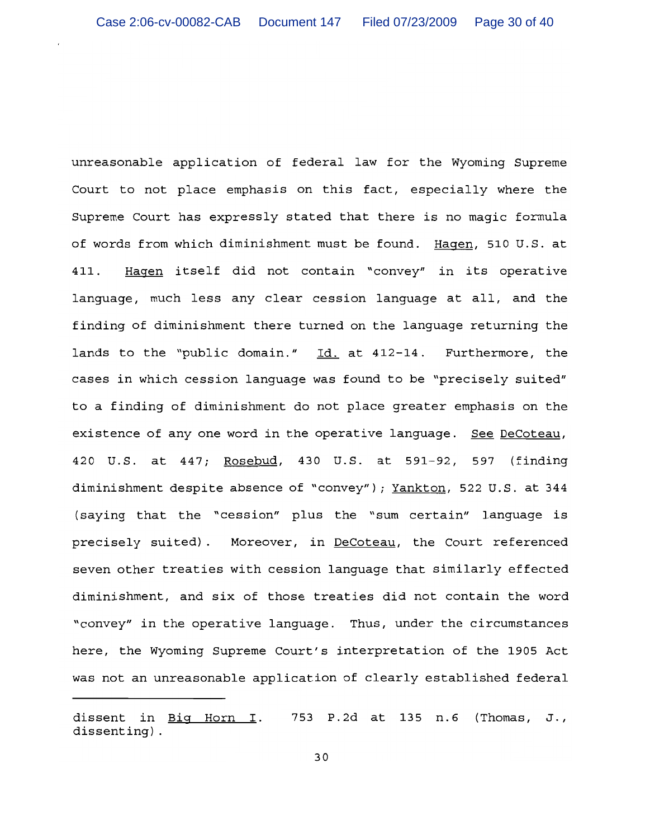unreasonable application of federal law for the Wyoming Supreme Court to not place emphasis on this fact, especially where the Supreme Court has expressly stated that there is no magic formula of words from which diminishment must be found. Hagen, 510 U.S. at Hagen itself did not contain "convey" in its operative 411. language, much less any clear cession language at all, and the finding of diminishment there turned on the language returning the lands to the "public domain." Id. at 412-14. Furthermore, the cases in which cession language was found to be "precisely suited" to a finding of diminishment do not place greater emphasis on the existence of any one word in the operative language. See DeCoteau, 420 U.S. at 447; Rosebud, 430 U.S. at 591-92, 597 (finding diminishment despite absence of "convey"); Yankton, 522 U.S. at 344 (saying that the "cession" plus the "sum certain" language is precisely suited). Moreover, in DeCoteau, the Court referenced seven other treaties with cession language that similarly effected diminishment, and six of those treaties did not contain the word "convey" in the operative language. Thus, under the circumstances here, the Wyoming Supreme Court's interpretation of the 1905 Act was not an unreasonable application of clearly established federal

dissent in  $Big$  Horn I. 753 P.2d at 135 n.6 (Thomas, J., dissenting).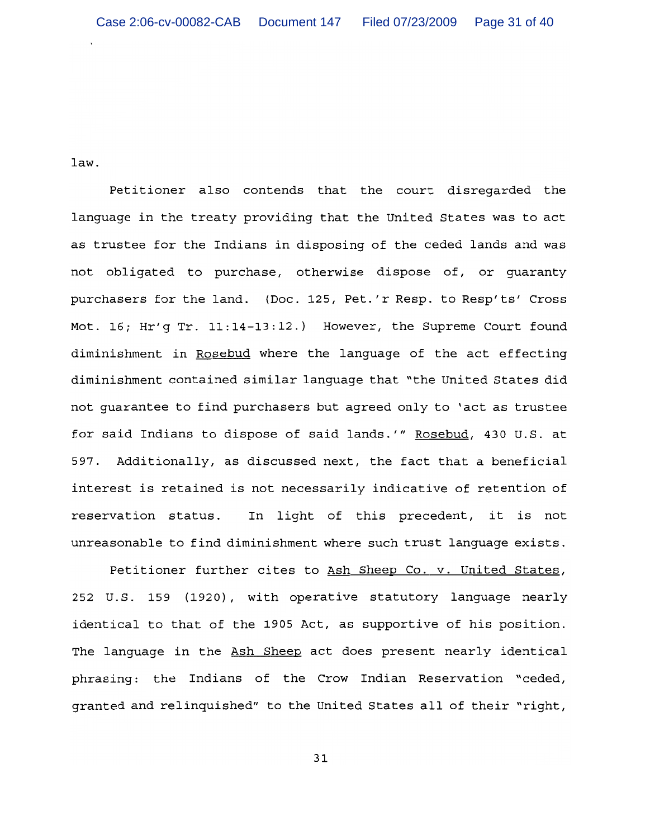law.

Petitioner also contends that the court disregarded the language in the treaty providing that the United States was to act as trustee for the Indians in disposing of the ceded lands and was not obligated to purchase, otherwise dispose of, or quaranty purchasers for the land. (Doc. 125, Pet.'r Resp. to Resp'ts' Cross Mot. 16; Hr'g Tr. 11:14-13:12.) However, the Supreme Court found diminishment in Rosebud where the language of the act effecting diminishment contained similar language that "the United States did not guarantee to find purchasers but agreed only to 'act as trustee for said Indians to dispose of said lands.'" Rosebud, 430 U.S. at 597. Additionally, as discussed next, the fact that a beneficial interest is retained is not necessarily indicative of retention of reservation status. In light of this precedent, it is not unreasonable to find diminishment where such trust language exists.

Petitioner further cites to Ash Sheep Co. v. United States, 252 U.S. 159 (1920), with operative statutory language nearly identical to that of the 1905 Act, as supportive of his position. The language in the Ash Sheep act does present nearly identical phrasing: the Indians of the Crow Indian Reservation "ceded, granted and relinquished" to the United States all of their "right,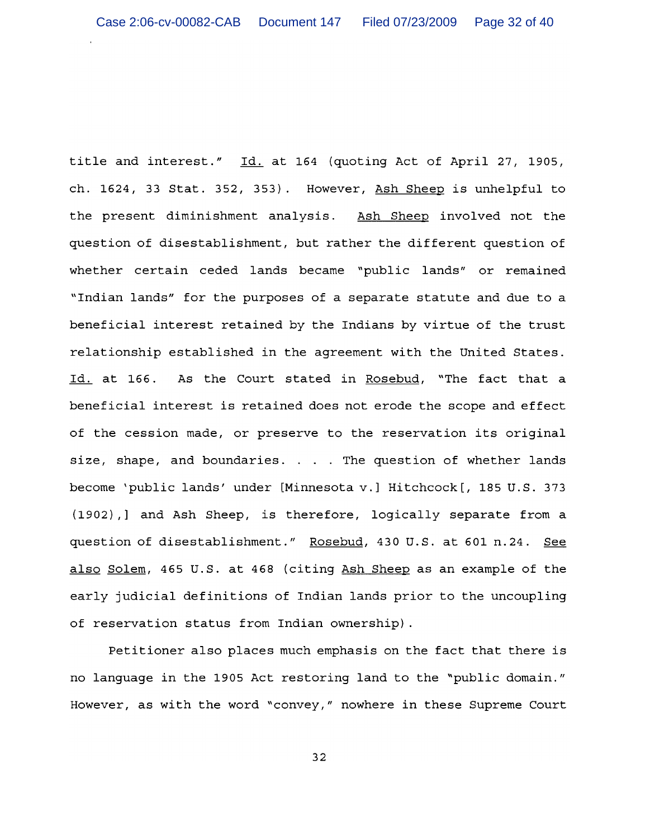title and interest." Id. at 164 (quoting Act of April 27, 1905, ch. 1624, 33 Stat. 352, 353). However, Ash Sheep is unhelpful to the present diminishment analysis. Ash Sheep involved not the question of disestablishment, but rather the different question of whether certain ceded lands became "public lands" or remained "Indian lands" for the purposes of a separate statute and due to a beneficial interest retained by the Indians by virtue of the trust relationship established in the agreement with the United States. Id. at 166. As the Court stated in Rosebud, "The fact that a beneficial interest is retained does not erode the scope and effect of the cession made, or preserve to the reservation its original size, shape, and boundaries. . . . The question of whether lands become 'public lands' under [Minnesota v.] Hitchcock [, 185 U.S. 373 (1902), ] and Ash Sheep, is therefore, logically separate from a question of disestablishment." Rosebud, 430 U.S. at 601 n.24. See also Solem, 465 U.S. at 468 (citing Ash Sheep as an example of the early judicial definitions of Indian lands prior to the uncoupling of reservation status from Indian ownership).

Petitioner also places much emphasis on the fact that there is no language in the 1905 Act restoring land to the "public domain." However, as with the word "convey," nowhere in these Supreme Court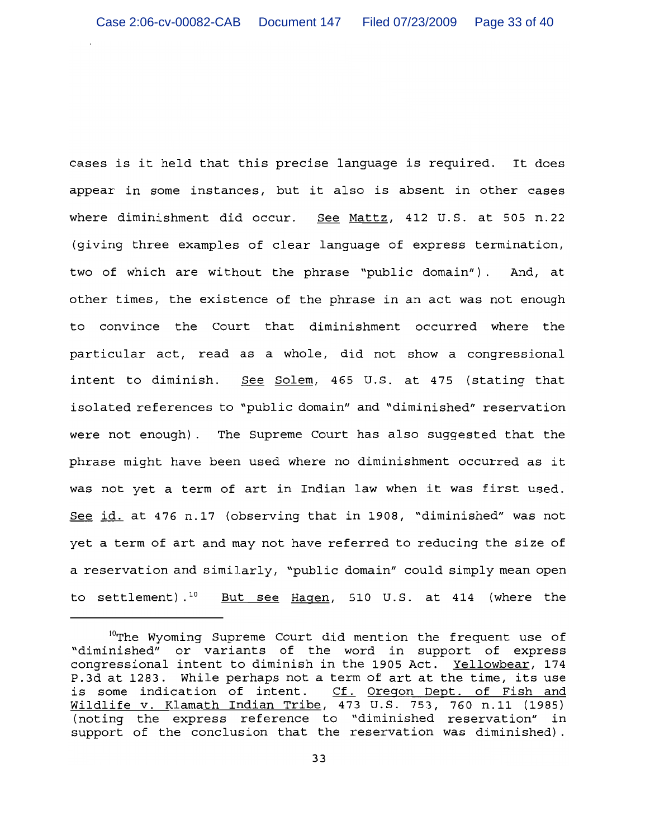cases is it held that this precise language is required. It does appear in some instances, but it also is absent in other cases where diminishment did occur. See Mattz, 412 U.S. at 505 n.22 (giving three examples of clear language of express termination, two of which are without the phrase "public domain"). And, at other times, the existence of the phrase in an act was not enough to convince the Court that diminishment occurred where the particular act, read as a whole, did not show a congressional See Solem, 465 U.S. at 475 (stating that intent to diminish. isolated references to "public domain" and "diminished" reservation were not enough). The Supreme Court has also suggested that the phrase might have been used where no diminishment occurred as it was not yet a term of art in Indian law when it was first used. See id. at 476 n.17 (observing that in 1908, "diminished" was not yet a term of art and may not have referred to reducing the size of a reservation and similarly, "public domain" could simply mean open to settlement).<sup>10</sup> But see Hagen, 510 U.S. at 414 (where the

<sup>&</sup>lt;sup>10</sup>The Wyoming Supreme Court did mention the frequent use of "diminished" or variants of the word in support of express congressional intent to diminish in the 1905 Act. Yellowbear, 174 P.3d at 1283. While perhaps not a term of art at the time, its use is some indication of intent. Cf. Oregon Dept. of Fish and<br>Wildlife v. Klamath Indian Tribe, 473 U.S. 753, 760 n.11 (1985) (noting the express reference to "diminished reservation" in support of the conclusion that the reservation was diminished).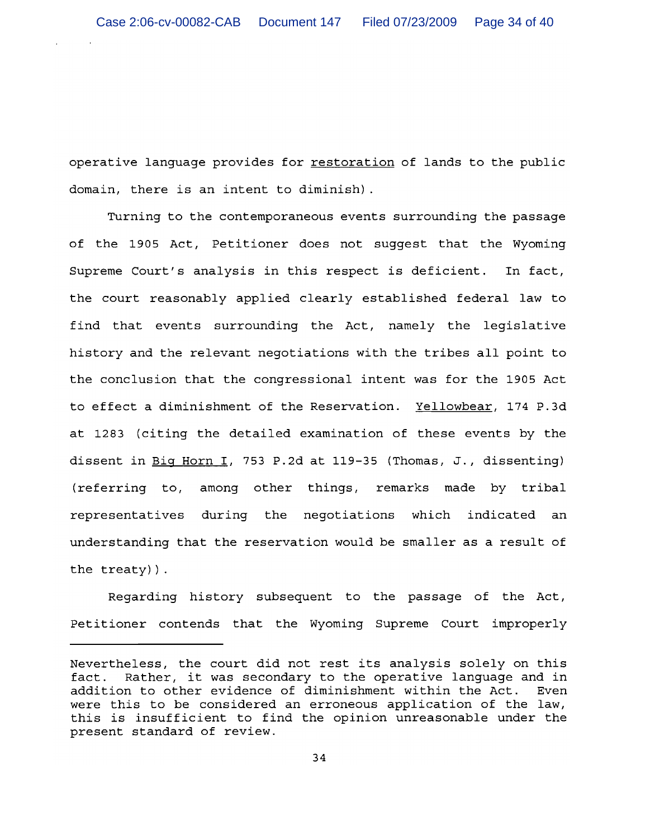operative language provides for restoration of lands to the public domain, there is an intent to diminish).

Turning to the contemporaneous events surrounding the passage of the 1905 Act, Petitioner does not suggest that the Wyoming Supreme Court's analysis in this respect is deficient. In fact, the court reasonably applied clearly established federal law to find that events surrounding the Act, namely the legislative history and the relevant negotiations with the tribes all point to the conclusion that the congressional intent was for the 1905 Act to effect a diminishment of the Reservation. Yellowbear, 174 P.3d at 1283 (citing the detailed examination of these events by the dissent in Big Horn I, 753 P.2d at 119-35 (Thomas, J., dissenting) (referring to, among other things, remarks made by tribal representatives during the negotiations which indicated an understanding that the reservation would be smaller as a result of the treaty)).

Regarding history subsequent to the passage of the Act, Petitioner contends that the Wyoming Supreme Court improperly

Nevertheless, the court did not rest its analysis solely on this Rather, it was secondary to the operative language and in fact. addition to other evidence of diminishment within the Act. Even were this to be considered an erroneous application of the law, this is insufficient to find the opinion unreasonable under the present standard of review.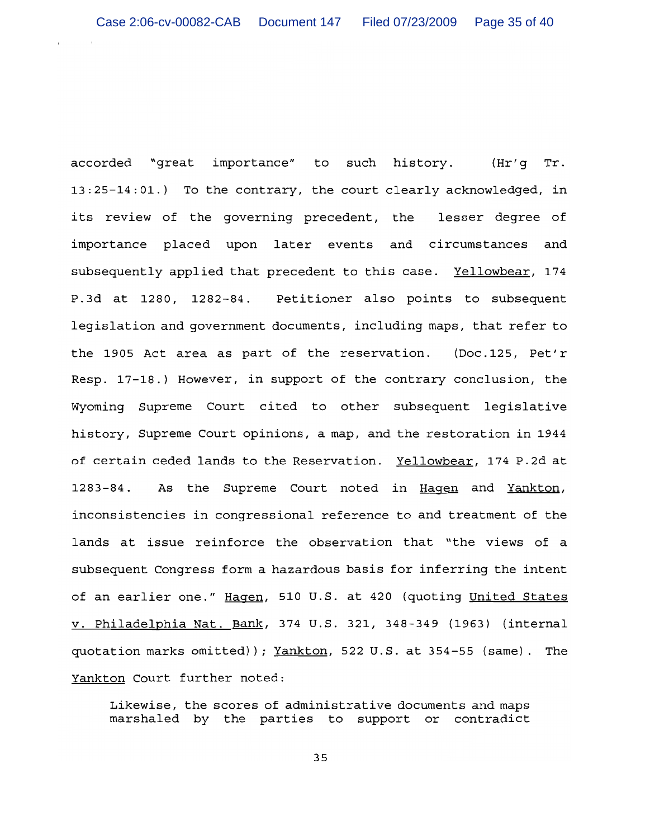accorded "great importance" to such history. (Hr'g Tr. 13:25-14:01.) To the contrary, the court clearly acknowledged, in its review of the governing precedent, the lesser degree of importance placed upon later events and circumstances and subsequently applied that precedent to this case. Yellowbear, 174 P.3d at 1280, 1282-84. Petitioner also points to subsequent legislation and government documents, including maps, that refer to the 1905 Act area as part of the reservation. (Doc.125, Pet'r Resp. 17-18.) However, in support of the contrary conclusion, the Wyoming Supreme Court cited to other subsequent legislative history, Supreme Court opinions, a map, and the restoration in 1944 of certain ceded lands to the Reservation. Yellowbear, 174 P.2d at  $1283 - 84$ . As the Supreme Court noted in Hagen and Yankton, inconsistencies in congressional reference to and treatment of the lands at issue reinforce the observation that "the views of a subsequent Congress form a hazardous basis for inferring the intent of an earlier one." Hagen, 510 U.S. at 420 (quoting United States v. Philadelphia Nat. Bank, 374 U.S. 321, 348-349 (1963) (internal quotation marks omitted)); Yankton, 522 U.S. at 354-55 (same). The Yankton Court further noted:

Likewise, the scores of administrative documents and maps marshaled by the parties to support or contradict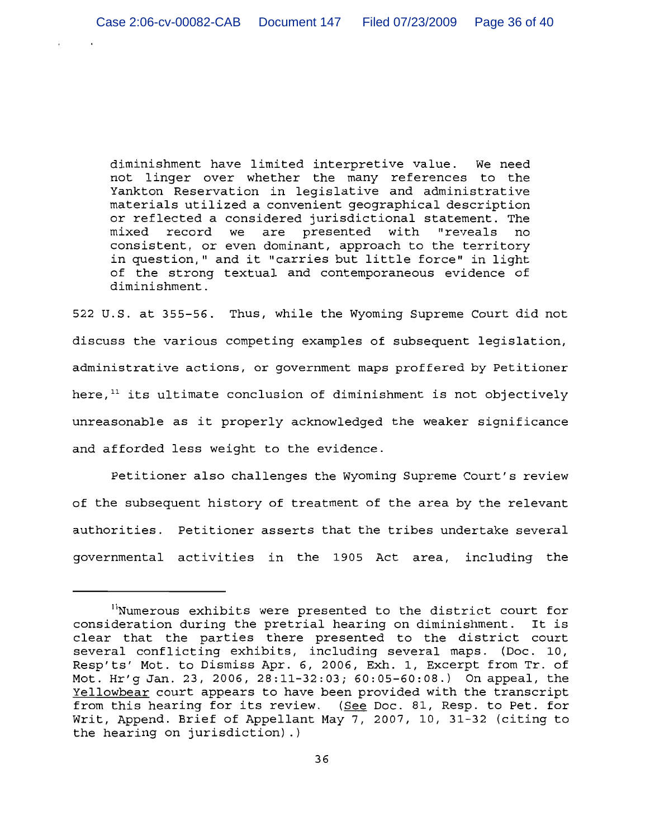diminishment have limited interpretive value. We need not linger over whether the many references to the Yankton Reservation in legislative and administrative materials utilized a convenient geographical description or reflected a considered jurisdictional statement. The mixed record we are presented with "reveals no consistent, or even dominant, approach to the territory in question," and it "carries but little force" in light of the strong textual and contemporaneous evidence of diminishment.

522 U.S. at 355-56. Thus, while the Wyoming Supreme Court did not discuss the various competing examples of subsequent legislation, administrative actions, or government maps proffered by Petitioner here, $11$  its ultimate conclusion of diminishment is not objectively unreasonable as it properly acknowledged the weaker significance and afforded less weight to the evidence.

Petitioner also challenges the Wyoming Supreme Court's review of the subsequent history of treatment of the area by the relevant authorities. Petitioner asserts that the tribes undertake several governmental activities in the 1905 Act area, including the

<sup>&</sup>quot;Numerous exhibits were presented to the district court for consideration during the pretrial hearing on diminishment. It is clear that the parties there presented to the district court several conflicting exhibits, including several maps. (Doc. 10, Resp'ts' Mot. to Dismiss Apr. 6, 2006, Exh. 1, Excerpt from Tr. of Mot. Hr'g Jan. 23, 2006, 28:11-32:03; 60:05-60:08.) On appeal, the Yellowbear court appears to have been provided with the transcript from this hearing for its review. (See Doc. 81, Resp. to Pet. for Writ, Append. Brief of Appellant May 7, 2007, 10, 31-32 (citing to the hearing on jurisdiction).)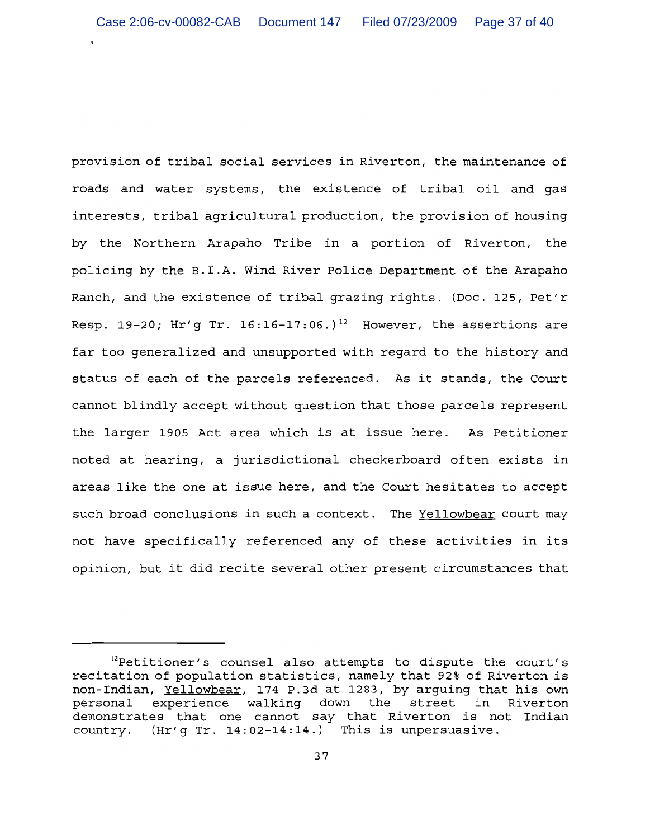provision of tribal social services in Riverton, the maintenance of roads and water systems, the existence of tribal oil and gas interests, tribal agricultural production, the provision of housing by the Northern Arapaho Tribe in a portion of Riverton, the policing by the B.I.A. Wind River Police Department of the Arapaho Ranch, and the existence of tribal grazing rights. (Doc. 125, Pet'r Resp. 19-20; Hr'g Tr. 16:16-17:06.)<sup>12</sup> However, the assertions are far too generalized and unsupported with regard to the history and status of each of the parcels referenced. As it stands, the Court cannot blindly accept without question that those parcels represent the larger 1905 Act area which is at issue here. As Petitioner noted at hearing, a jurisdictional checkerboard often exists in areas like the one at issue here, and the Court hesitates to accept such broad conclusions in such a context. The Yellowbear court may not have specifically referenced any of these activities in its opinion, but it did recite several other present circumstances that

<sup>&</sup>lt;sup>12</sup>Petitioner's counsel also attempts to dispute the court's recitation of population statistics, namely that 92% of Riverton is non-Indian, Yellowbear, 174 P.3d at 1283, by arguing that his own experience walking down the street in Riverton personal demonstrates that one cannot say that Riverton is not Indian country. (Hr'g Tr. 14:02-14:14.) This is unpersuasive.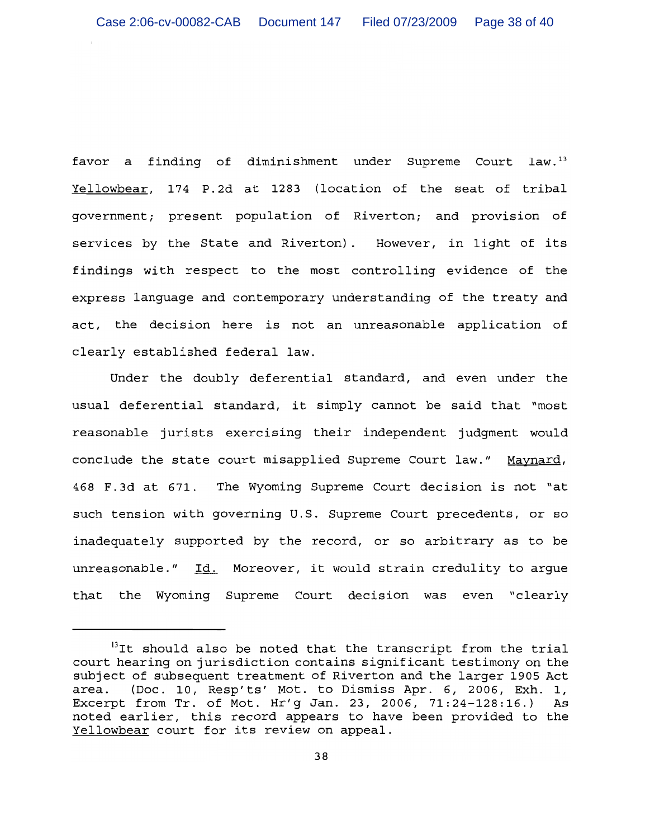favor a finding of diminishment under Supreme Court law.<sup>13</sup> Yellowbear, 174 P.2d at 1283 (location of the seat of tribal government; present population of Riverton; and provision of services by the State and Riverton). However, in light of its findings with respect to the most controlling evidence of the express language and contemporary understanding of the treaty and act, the decision here is not an unreasonable application of clearly established federal law.

Under the doubly deferential standard, and even under the usual deferential standard, it simply cannot be said that "most reasonable jurists exercising their independent judgment would conclude the state court misapplied Supreme Court law." Maynard, 468 F.3d at 671. The Wyoming Supreme Court decision is not "at such tension with governing U.S. Supreme Court precedents, or so inadequately supported by the record, or so arbitrary as to be unreasonable." Id. Moreover, it would strain credulity to argue that the Wyoming Supreme Court decision was even "clearly

<sup>&</sup>lt;sup>13</sup>It should also be noted that the transcript from the trial court hearing on jurisdiction contains significant testimony on the subject of subsequent treatment of Riverton and the larger 1905 Act (Doc. 10, Resp'ts' Mot. to Dismiss Apr. 6, 2006, Exh. 1, area. Excerpt from Tr. of Mot. Hr'g Jan. 23, 2006, 71:24-128:16.) As noted earlier, this record appears to have been provided to the Yellowbear court for its review on appeal.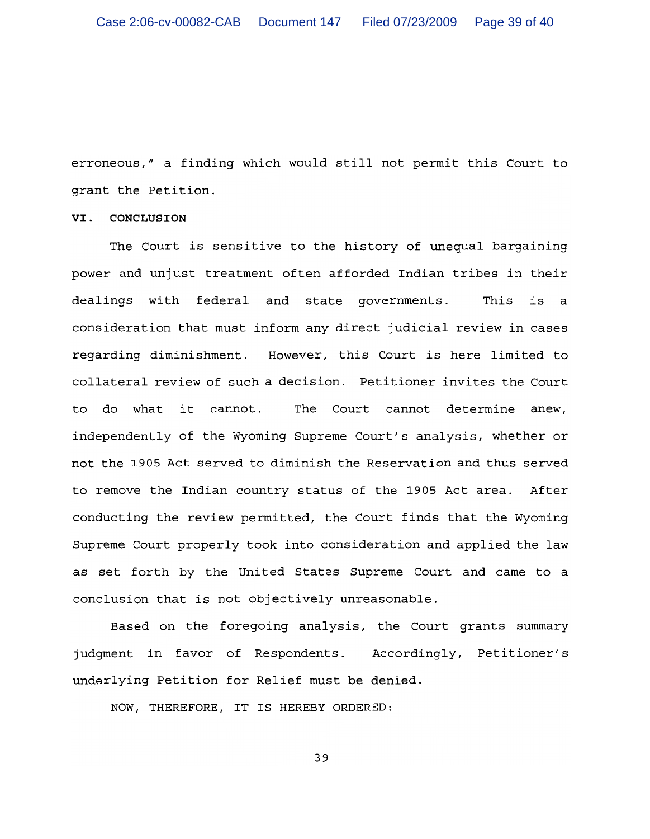erroneous," a finding which would still not permit this Court to grant the Petition.

# VI. CONCLUSION

The Court is sensitive to the history of unequal bargaining power and unjust treatment often afforded Indian tribes in their dealings with federal and state governments. This is a consideration that must inform any direct judicial review in cases regarding diminishment. However, this Court is here limited to collateral review of such a decision. Petitioner invites the Court to do what it cannot. The Court cannot determine anew. independently of the Wyoming Supreme Court's analysis, whether or not the 1905 Act served to diminish the Reservation and thus served to remove the Indian country status of the 1905 Act area. After conducting the review permitted, the Court finds that the Wyoming Supreme Court properly took into consideration and applied the law as set forth by the United States Supreme Court and came to a conclusion that is not objectively unreasonable.

Based on the foregoing analysis, the Court grants summary judgment in favor of Respondents. Accordingly, Petitioner's underlying Petition for Relief must be denied.

NOW, THEREFORE, IT IS HEREBY ORDERED: